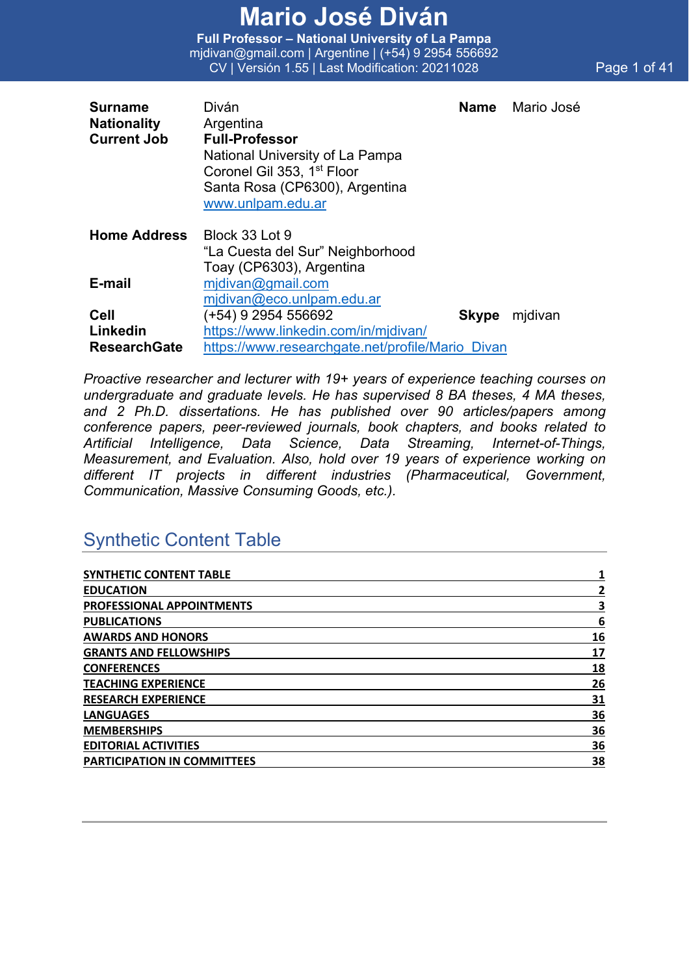**Full Professor – National University of La Pampa** mjdivan@gmail.com | Argentine | (+54) 9 2954 556692 CV | Versión 1.55 | Last Modification: 20211028 Page 1 of 41

| <b>Surname</b>      | Diván                                            | Name         | Mario José |
|---------------------|--------------------------------------------------|--------------|------------|
| <b>Nationality</b>  | Argentina                                        |              |            |
| <b>Current Job</b>  | <b>Full-Professor</b>                            |              |            |
|                     | National University of La Pampa                  |              |            |
|                     | Coronel Gil 353, 1 <sup>st</sup> Floor           |              |            |
|                     | Santa Rosa (CP6300), Argentina                   |              |            |
|                     | www.unlpam.edu.ar                                |              |            |
| <b>Home Address</b> | Block 33 Lot 9                                   |              |            |
|                     | "La Cuesta del Sur" Neighborhood                 |              |            |
|                     | Toay (CP6303), Argentina                         |              |            |
| E-mail              | mjdivan@gmail.com                                |              |            |
|                     | midivan@eco.unlpam.edu.ar                        |              |            |
| <b>Cell</b>         | (+54) 9 2954 556692                              | <b>Skype</b> | midivan    |
| Linkedin            | https://www.linkedin.com/in/mjdivan/             |              |            |
| <b>ResearchGate</b> | https://www.researchgate.net/profile/Mario Divan |              |            |

*Proactive researcher and lecturer with 19+ years of experience teaching courses on undergraduate and graduate levels. He has supervised 8 BA theses, 4 MA theses, and 2 Ph.D. dissertations. He has published over 90 articles/papers among conference papers, peer-reviewed journals, book chapters, and books related to Artificial Intelligence, Data Science, Data Streaming, Internet-of-Things, Measurement, and Evaluation. Also, hold over 19 years of experience working on different IT projects in different industries (Pharmaceutical, Government, Communication, Massive Consuming Goods, etc.).*

### Synthetic Content Table

| <b>SYNTHETIC CONTENT TABLE</b>     |    |
|------------------------------------|----|
| <b>EDUCATION</b>                   | 2  |
| PROFESSIONAL APPOINTMENTS          | З  |
| <b>PUBLICATIONS</b>                | 6  |
| <b>AWARDS AND HONORS</b>           | 16 |
| <b>GRANTS AND FELLOWSHIPS</b>      | 17 |
| <b>CONFERENCES</b>                 | 18 |
| <b>TEACHING EXPERIENCE</b>         | 26 |
| <b>RESEARCH EXPERIENCE</b>         | 31 |
| <b>LANGUAGES</b>                   | 36 |
| <b>MEMBERSHIPS</b>                 | 36 |
| <b>EDITORIAL ACTIVITIES</b>        | 36 |
| <b>PARTICIPATION IN COMMITTEES</b> | 38 |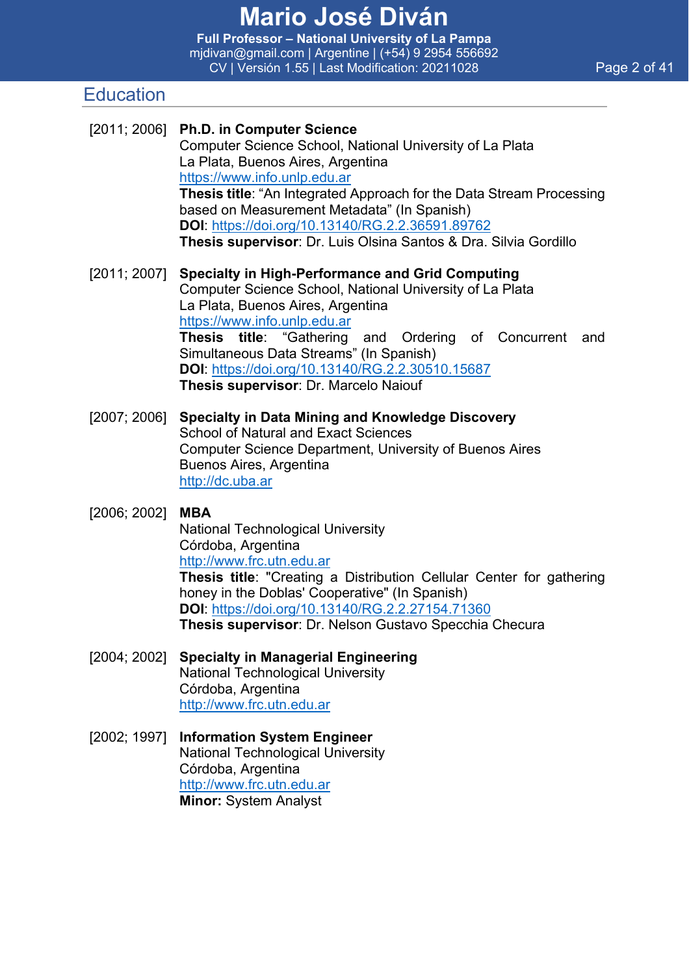**Full Professor – National University of La Pampa** mjdivan@gmail.com | Argentine | (+54) 9 2954 556692 CV | Versión 1.55 | Last Modification: 20211028 Page 2 of 41

### **Education**

|              | [2011; 2006] Ph.D. in Computer Science<br>Computer Science School, National University of La Plata<br>La Plata, Buenos Aires, Argentina<br>https://www.info.unlp.edu.ar<br>Thesis title: "An Integrated Approach for the Data Stream Processing<br>based on Measurement Metadata" (In Spanish)<br>DOI: https://doi.org/10.13140/RG.2.2.36591.89762<br>Thesis supervisor: Dr. Luis Olsina Santos & Dra. Silvia Gordillo |  |  |
|--------------|------------------------------------------------------------------------------------------------------------------------------------------------------------------------------------------------------------------------------------------------------------------------------------------------------------------------------------------------------------------------------------------------------------------------|--|--|
| [2011; 2007] | <b>Specialty in High-Performance and Grid Computing</b><br>Computer Science School, National University of La Plata<br>La Plata, Buenos Aires, Argentina<br>https://www.info.unlp.edu.ar<br>Thesis title: "Gathering and Ordering of Concurrent<br>and<br>Simultaneous Data Streams" (In Spanish)<br>DOI: https://doi.org/10.13140/RG.2.2.30510.15687<br>Thesis supervisor: Dr. Marcelo Naiouf                         |  |  |
| [2007; 2006] | <b>Specialty in Data Mining and Knowledge Discovery</b><br><b>School of Natural and Exact Sciences</b><br>Computer Science Department, University of Buenos Aires<br>Buenos Aires, Argentina<br>http://dc.uba.ar                                                                                                                                                                                                       |  |  |
| [2006; 2002] | <b>MBA</b><br><b>National Technological University</b><br>Córdoba, Argentina<br>http://www.frc.utn.edu.ar<br>Thesis title: "Creating a Distribution Cellular Center for gathering<br>honey in the Doblas' Cooperative" (In Spanish)<br>DOI: https://doi.org/10.13140/RG.2.2.27154.71360<br>Thesis supervisor: Dr. Nelson Gustavo Specchia Checura                                                                      |  |  |
| [2004; 2002] | <b>Specialty in Managerial Engineering</b><br><b>National Technological University</b><br>Córdoba, Argentina<br>http://www.frc.utn.edu.ar                                                                                                                                                                                                                                                                              |  |  |
| [2002; 1997] | <b>Information System Engineer</b><br><b>National Technological University</b><br>Córdoba, Argentina<br>http://www.frc.utn.edu.ar<br>Minor: System Analyst                                                                                                                                                                                                                                                             |  |  |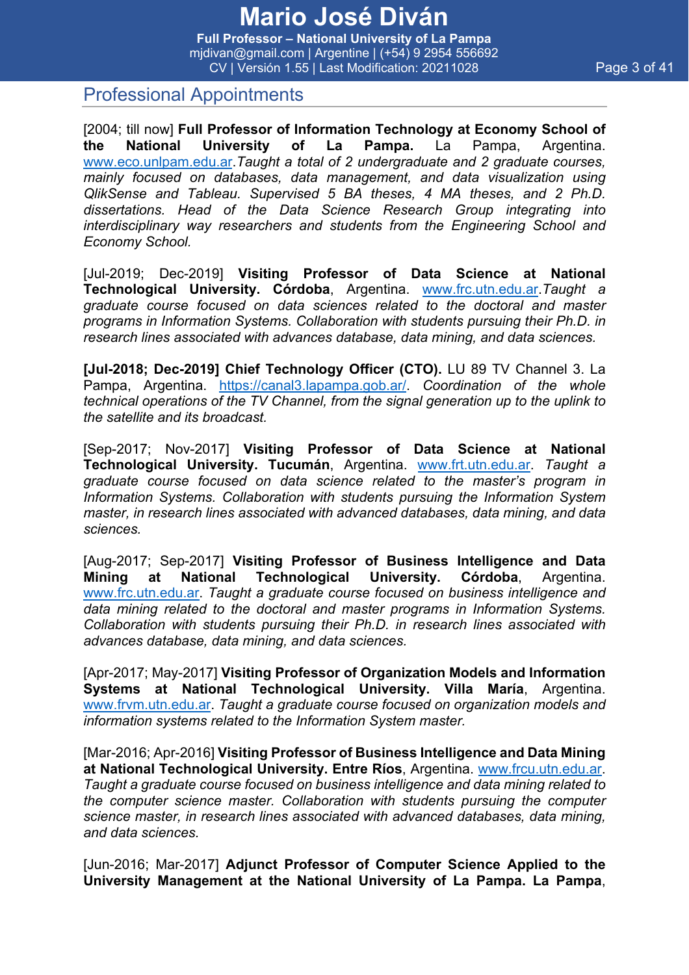**Full Professor – National University of La Pampa** mjdivan@gmail.com | Argentine | (+54) 9 2954 556692 CV | Versión 1.55 | Last Modification: 20211028 Page 3 of 41

### Professional Appointments

[2004; till now] **Full Professor of Information Technology at Economy School of the National University of La Pampa.** La Pampa, Argentina. www.eco.unlpam.edu.ar.*Taught a total of 2 undergraduate and 2 graduate courses, mainly focused on databases, data management, and data visualization using QlikSense and Tableau. Supervised 5 BA theses, 4 MA theses, and 2 Ph.D. dissertations. Head of the Data Science Research Group integrating into interdisciplinary way researchers and students from the Engineering School and Economy School.*

[Jul-2019; Dec-2019] **Visiting Professor of Data Science at National Technological University. Córdoba**, Argentina. www.frc.utn.edu.ar.*Taught a graduate course focused on data sciences related to the doctoral and master programs in Information Systems. Collaboration with students pursuing their Ph.D. in research lines associated with advances database, data mining, and data sciences.*

**[Jul-2018; Dec-2019] Chief Technology Officer (CTO).** LU 89 TV Channel 3. La Pampa, Argentina. https://canal3.lapampa.gob.ar/. *Coordination of the whole technical operations of the TV Channel, from the signal generation up to the uplink to the satellite and its broadcast.*

[Sep-2017; Nov-2017] **Visiting Professor of Data Science at National Technological University. Tucumán**, Argentina. www.frt.utn.edu.ar. *Taught a graduate course focused on data science related to the master's program in Information Systems. Collaboration with students pursuing the Information System master, in research lines associated with advanced databases, data mining, and data sciences.*

[Aug-2017; Sep-2017] **Visiting Professor of Business Intelligence and Data Mining at National Technological University. Córdoba**, Argentina. www.frc.utn.edu.ar. *Taught a graduate course focused on business intelligence and data mining related to the doctoral and master programs in Information Systems. Collaboration with students pursuing their Ph.D. in research lines associated with advances database, data mining, and data sciences.*

[Apr-2017; May-2017] **Visiting Professor of Organization Models and Information Systems at National Technological University. Villa María**, Argentina. www.frvm.utn.edu.ar. *Taught a graduate course focused on organization models and information systems related to the Information System master.*

[Mar-2016; Apr-2016] **Visiting Professor of Business Intelligence and Data Mining at National Technological University. Entre Ríos**, Argentina. www.frcu.utn.edu.ar. *Taught a graduate course focused on business intelligence and data mining related to the computer science master. Collaboration with students pursuing the computer science master, in research lines associated with advanced databases, data mining, and data sciences.*

[Jun-2016; Mar-2017] **Adjunct Professor of Computer Science Applied to the University Management at the National University of La Pampa. La Pampa**,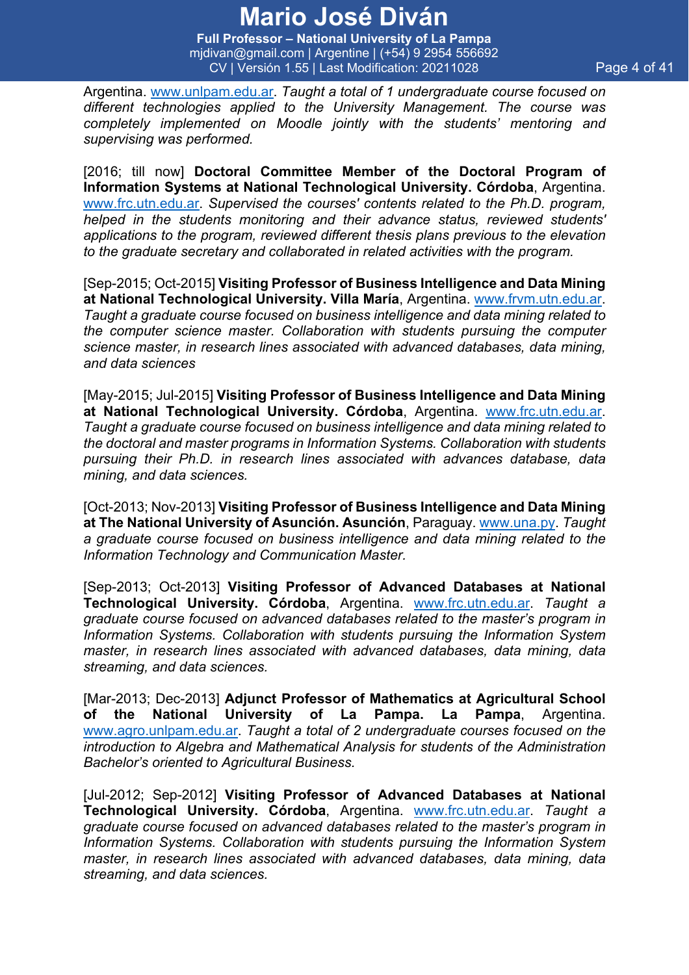**Full Professor – National University of La Pampa** mjdivan@gmail.com | Argentine | (+54) 9 2954 556692 CV | Versión 1.55 | Last Modification: 20211028 Page 4 of 41

Argentina. www.unlpam.edu.ar. *Taught a total of 1 undergraduate course focused on different technologies applied to the University Management. The course was completely implemented on Moodle jointly with the students' mentoring and supervising was performed.*

[2016; till now] **Doctoral Committee Member of the Doctoral Program of Information Systems at National Technological University. Córdoba**, Argentina. www.frc.utn.edu.ar. *Supervised the courses' contents related to the Ph.D. program, helped in the students monitoring and their advance status, reviewed students' applications to the program, reviewed different thesis plans previous to the elevation to the graduate secretary and collaborated in related activities with the program.*

[Sep-2015; Oct-2015] **Visiting Professor of Business Intelligence and Data Mining at National Technological University. Villa María**, Argentina. www.frvm.utn.edu.ar. *Taught a graduate course focused on business intelligence and data mining related to the computer science master. Collaboration with students pursuing the computer science master, in research lines associated with advanced databases, data mining, and data sciences*

[May-2015; Jul-2015] **Visiting Professor of Business Intelligence and Data Mining at National Technological University. Córdoba**, Argentina. www.frc.utn.edu.ar. *Taught a graduate course focused on business intelligence and data mining related to the doctoral and master programs in Information Systems. Collaboration with students pursuing their Ph.D. in research lines associated with advances database, data mining, and data sciences.*

[Oct-2013; Nov-2013] **Visiting Professor of Business Intelligence and Data Mining at The National University of Asunción. Asunción**, Paraguay. www.una.py. *Taught a graduate course focused on business intelligence and data mining related to the Information Technology and Communication Master.* 

[Sep-2013; Oct-2013] **Visiting Professor of Advanced Databases at National Technological University. Córdoba**, Argentina. www.frc.utn.edu.ar. *Taught a graduate course focused on advanced databases related to the master's program in Information Systems. Collaboration with students pursuing the Information System master, in research lines associated with advanced databases, data mining, data streaming, and data sciences.*

[Mar-2013; Dec-2013] **Adjunct Professor of Mathematics at Agricultural School of the National University of La Pampa. La Pampa**, Argentina. www.agro.unlpam.edu.ar. *Taught a total of 2 undergraduate courses focused on the introduction to Algebra and Mathematical Analysis for students of the Administration Bachelor's oriented to Agricultural Business.*

[Jul-2012; Sep-2012] **Visiting Professor of Advanced Databases at National Technological University. Córdoba**, Argentina. www.frc.utn.edu.ar. *Taught a graduate course focused on advanced databases related to the master's program in Information Systems. Collaboration with students pursuing the Information System master, in research lines associated with advanced databases, data mining, data streaming, and data sciences.*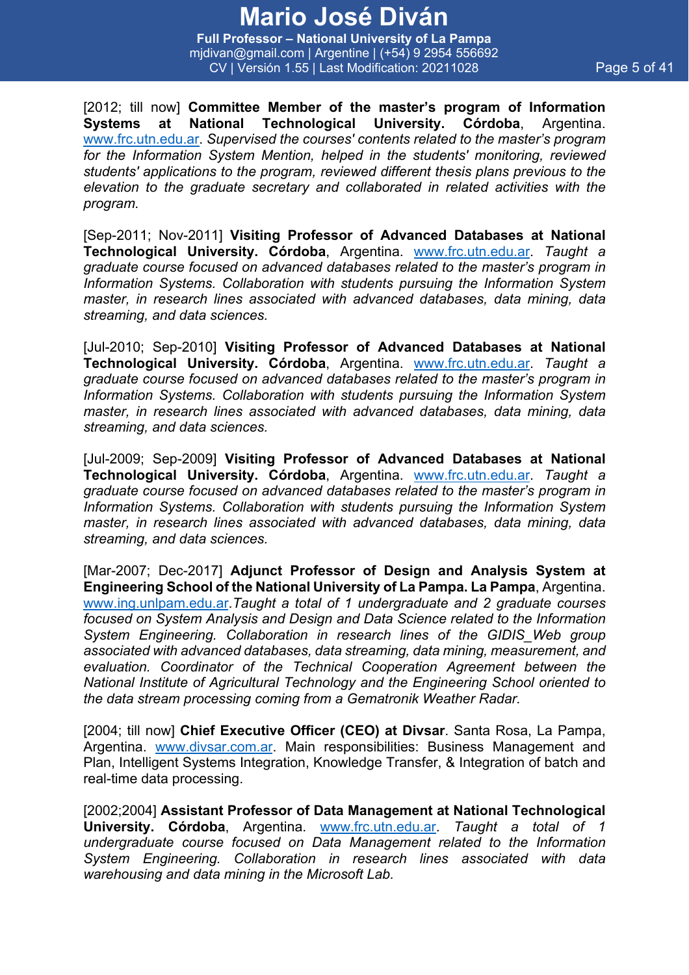**Full Professor – National University of La Pampa** mjdivan@gmail.com | Argentine | (+54) 9 2954 556692 CV | Versión 1.55 | Last Modification: 20211028 Page 5 of 41

[2012; till now] **Committee Member of the master's program of Information Systems at National Technological University. Córdoba**, Argentina. www.frc.utn.edu.ar. *Supervised the courses' contents related to the master's program for the Information System Mention, helped in the students' monitoring, reviewed students' applications to the program, reviewed different thesis plans previous to the elevation to the graduate secretary and collaborated in related activities with the program.*

[Sep-2011; Nov-2011] **Visiting Professor of Advanced Databases at National Technological University. Córdoba**, Argentina. www.frc.utn.edu.ar. *Taught a graduate course focused on advanced databases related to the master's program in Information Systems. Collaboration with students pursuing the Information System master, in research lines associated with advanced databases, data mining, data streaming, and data sciences.*

[Jul-2010; Sep-2010] **Visiting Professor of Advanced Databases at National Technological University. Córdoba**, Argentina. www.frc.utn.edu.ar. *Taught a graduate course focused on advanced databases related to the master's program in Information Systems. Collaboration with students pursuing the Information System master, in research lines associated with advanced databases, data mining, data streaming, and data sciences.*

[Jul-2009; Sep-2009] **Visiting Professor of Advanced Databases at National Technological University. Córdoba**, Argentina. www.frc.utn.edu.ar. *Taught a graduate course focused on advanced databases related to the master's program in Information Systems. Collaboration with students pursuing the Information System master, in research lines associated with advanced databases, data mining, data streaming, and data sciences.*

[Mar-2007; Dec-2017] **Adjunct Professor of Design and Analysis System at Engineering School of the National University of La Pampa. La Pampa**, Argentina. www.ing.unlpam.edu.ar.*Taught a total of 1 undergraduate and 2 graduate courses focused on System Analysis and Design and Data Science related to the Information System Engineering. Collaboration in research lines of the GIDIS\_Web group associated with advanced databases, data streaming, data mining, measurement, and evaluation. Coordinator of the Technical Cooperation Agreement between the National Institute of Agricultural Technology and the Engineering School oriented to the data stream processing coming from a Gematronik Weather Radar.*

[2004; till now] **Chief Executive Officer (CEO) at Divsar**. Santa Rosa, La Pampa, Argentina. www.divsar.com.ar. Main responsibilities: Business Management and Plan, Intelligent Systems Integration, Knowledge Transfer, & Integration of batch and real-time data processing.

[2002;2004] **Assistant Professor of Data Management at National Technological University. Córdoba**, Argentina. www.frc.utn.edu.ar. *Taught a total of 1 undergraduate course focused on Data Management related to the Information System Engineering. Collaboration in research lines associated with data warehousing and data mining in the Microsoft Lab.*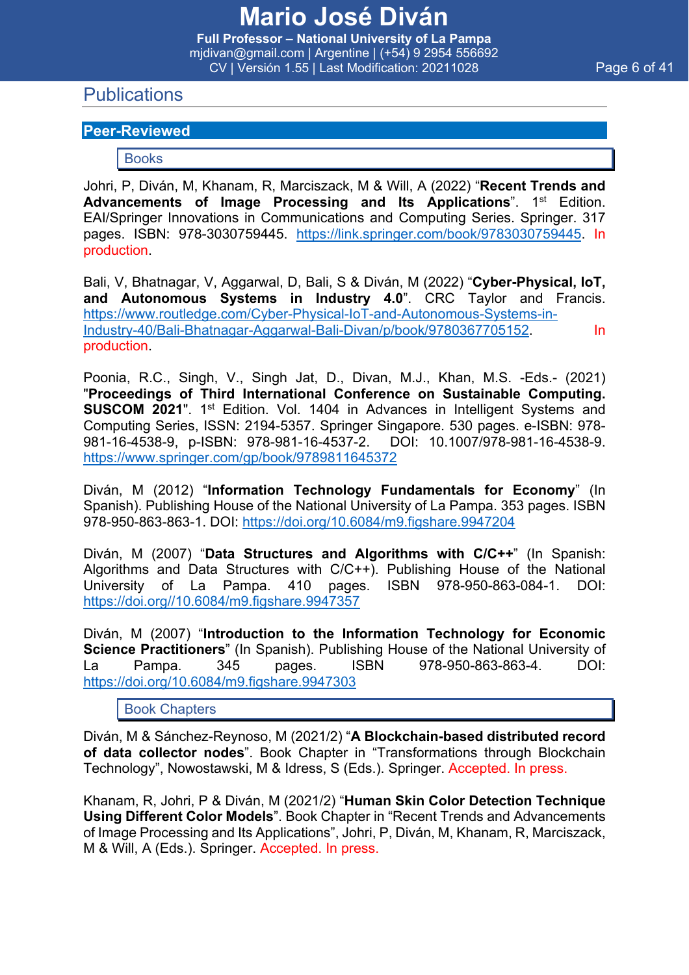### **Publications**

#### **Peer-Reviewed**

#### Books

Johri, P, Diván, M, Khanam, R, Marciszack, M & Will, A (2022) "**Recent Trends and**  Advancements of Image Processing and Its Applications". 1<sup>st</sup> Edition. EAI/Springer Innovations in Communications and Computing Series. Springer. 317 pages. ISBN: 978-3030759445. https://link.springer.com/book/9783030759445. In production.

Bali, V, Bhatnagar, V, Aggarwal, D, Bali, S & Diván, M (2022) "**Cyber-Physical, IoT, and Autonomous Systems in Industry 4.0**". CRC Taylor and Francis. https://www.routledge.com/Cyber-Physical-IoT-and-Autonomous-Systems-in-Industry-40/Bali-Bhatnagar-Aggarwal-Bali-Divan/p/book/9780367705152. In production.

Poonia, R.C., Singh, V., Singh Jat, D., Divan, M.J., Khan, M.S. -Eds.- (2021) "**Proceedings of Third International Conference on Sustainable Computing. SUSCOM 2021".** 1<sup>st</sup> Edition. Vol. 1404 in Advances in Intelligent Systems and Computing Series, ISSN: 2194-5357. Springer Singapore. 530 pages. e-ISBN: 978- 981-16-4538-9, p-ISBN: 978-981-16-4537-2. DOI: 10.1007/978-981-16-4538-9. https://www.springer.com/gp/book/9789811645372

Diván, M (2012) "**Information Technology Fundamentals for Economy**" (In Spanish). Publishing House of the National University of La Pampa. 353 pages. ISBN 978-950-863-863-1. DOI: https://doi.org/10.6084/m9.figshare.9947204

Diván, M (2007) "**Data Structures and Algorithms with C/C++**" (In Spanish: Algorithms and Data Structures with C/C++). Publishing House of the National University of La Pampa. 410 pages. ISBN 978-950-863-084-1. DOI: https://doi.org//10.6084/m9.figshare.9947357

Diván, M (2007) "**Introduction to the Information Technology for Economic Science Practitioners**" (In Spanish). Publishing House of the National University of La Pampa. 345 pages. ISBN 978-950-863-863-4. DOI: https://doi.org/10.6084/m9.figshare.9947303

Book Chapters

Diván, M & Sánchez-Reynoso, M (2021/2) "**A Blockchain-based distributed record of data collector nodes**". Book Chapter in "Transformations through Blockchain Technology", Nowostawski, M & Idress, S (Eds.). Springer. Accepted. In press.

Khanam, R, Johri, P & Diván, M (2021/2) "**Human Skin Color Detection Technique Using Different Color Models**". Book Chapter in "Recent Trends and Advancements of Image Processing and Its Applications", Johri, P, Diván, M, Khanam, R, Marciszack, M & Will, A (Eds.). Springer. Accepted. In press.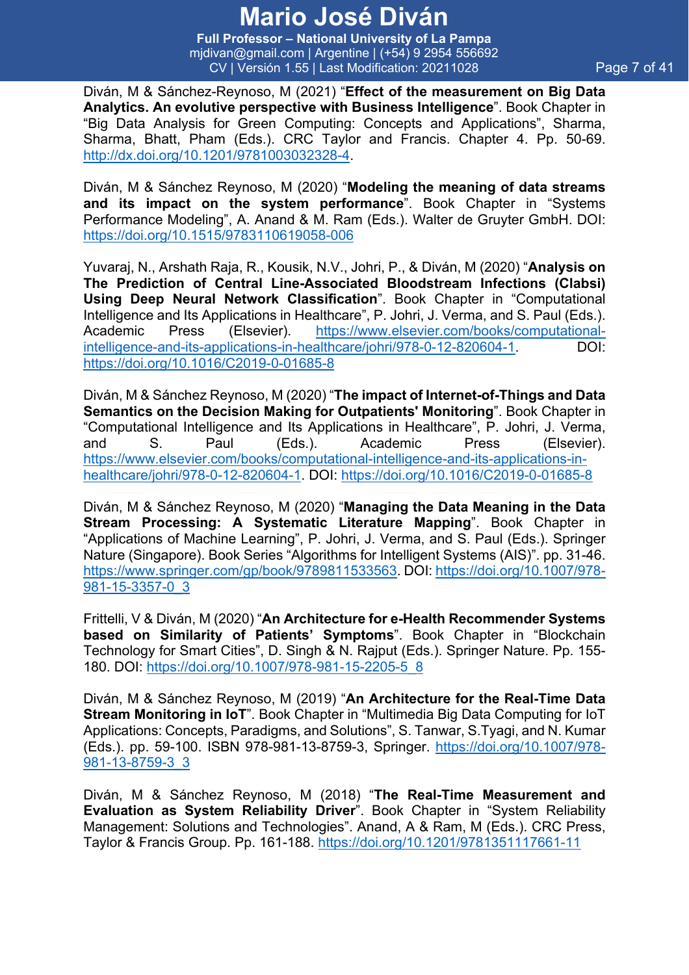**Full Professor – National University of La Pampa** mjdivan@gmail.com | Argentine | (+54) 9 2954 556692 CV | Versión 1.55 | Last Modification: 20211028 Page 7 of 41

Diván, M & Sánchez-Reynoso, M (2021) "**Effect of the measurement on Big Data Analytics. An evolutive perspective with Business Intelligence**". Book Chapter in "Big Data Analysis for Green Computing: Concepts and Applications", Sharma, Sharma, Bhatt, Pham (Eds.). CRC Taylor and Francis. Chapter 4. Pp. 50-69. http://dx.doi.org/10.1201/9781003032328-4.

Diván, M & Sánchez Reynoso, M (2020) "**Modeling the meaning of data streams and its impact on the system performance**". Book Chapter in "Systems Performance Modeling", A. Anand & M. Ram (Eds.). Walter de Gruyter GmbH. DOI: https://doi.org/10.1515/9783110619058-006

Yuvaraj, N., Arshath Raja, R., Kousik, N.V., Johri, P., & Diván, M (2020) "**Analysis on The Prediction of Central Line-Associated Bloodstream Infections (Clabsi) Using Deep Neural Network Classification**". Book Chapter in "Computational Intelligence and Its Applications in Healthcare", P. Johri, J. Verma, and S. Paul (Eds.). Academic Press (Elsevier). https://www.elsevier.com/books/computationalintelligence-and-its-applications-in-healthcare/johri/978-0-12-820604-1. DOI: https://doi.org/10.1016/C2019-0-01685-8

Diván, M & Sánchez Reynoso, M (2020) "**The impact of Internet-of-Things and Data Semantics on the Decision Making for Outpatients' Monitoring**". Book Chapter in "Computational Intelligence and Its Applications in Healthcare", P. Johri, J. Verma, and S. Paul (Eds.). Academic Press (Elsevier). https://www.elsevier.com/books/computational-intelligence-and-its-applications-inhealthcare/johri/978-0-12-820604-1. DOI: https://doi.org/10.1016/C2019-0-01685-8

Diván, M & Sánchez Reynoso, M (2020) "**Managing the Data Meaning in the Data Stream Processing: A Systematic Literature Mapping**". Book Chapter in "Applications of Machine Learning", P. Johri, J. Verma, and S. Paul (Eds.). Springer Nature (Singapore). Book Series "Algorithms for Intelligent Systems (AIS)". pp. 31-46. https://www.springer.com/gp/book/9789811533563. DOI: https://doi.org/10.1007/978- 981-15-3357-0\_3

Frittelli, V & Diván, M (2020) "**An Architecture for e-Health Recommender Systems based on Similarity of Patients' Symptoms**". Book Chapter in "Blockchain Technology for Smart Cities", D. Singh & N. Rajput (Eds.). Springer Nature. Pp. 155- 180. DOI: https://doi.org/10.1007/978-981-15-2205-5\_8

Diván, M & Sánchez Reynoso, M (2019) "**An Architecture for the Real-Time Data Stream Monitoring in IoT**". Book Chapter in "Multimedia Big Data Computing for IoT Applications: Concepts, Paradigms, and Solutions", S. Tanwar, S.Tyagi, and N. Kumar (Eds.). pp. 59-100. ISBN 978-981-13-8759-3, Springer. https://doi.org/10.1007/978- 981-13-8759-3\_3

Diván, M & Sánchez Reynoso, M (2018) "**The Real-Time Measurement and Evaluation as System Reliability Driver**". Book Chapter in "System Reliability Management: Solutions and Technologies". Anand, A & Ram, M (Eds.). CRC Press, Taylor & Francis Group. Pp. 161-188. https://doi.org/10.1201/9781351117661-11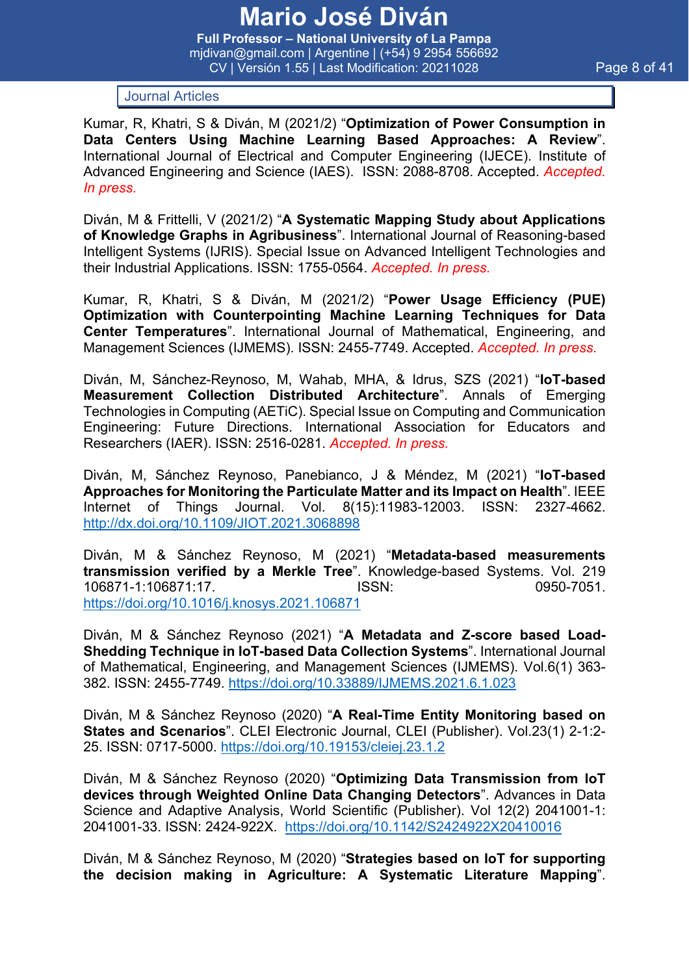**Full Professor – National University of La Pampa** mjdivan@gmail.com | Argentine | (+54) 9 2954 556692 CV | Versión 1.55 | Last Modification: 20211028 Page 8 of 41

Journal Articles

Kumar, R, Khatri, S & Diván, M (2021/2) "**Optimization of Power Consumption in Data Centers Using Machine Learning Based Approaches: A Review**". International Journal of Electrical and Computer Engineering (IJECE). Institute of Advanced Engineering and Science (IAES). ISSN: 2088-8708. Accepted. *Accepted. In press.*

Diván, M & Frittelli, V (2021/2) "**A Systematic Mapping Study about Applications of Knowledge Graphs in Agribusiness**". International Journal of Reasoning-based Intelligent Systems (IJRIS). Special Issue on Advanced Intelligent Technologies and their Industrial Applications. ISSN: 1755-0564. *Accepted. In press.*

Kumar, R, Khatri, S & Diván, M (2021/2) "**Power Usage Efficiency (PUE) Optimization with Counterpointing Machine Learning Techniques for Data Center Temperatures**". International Journal of Mathematical, Engineering, and Management Sciences (IJMEMS). ISSN: 2455-7749. Accepted. *Accepted. In press.*

Diván, M, Sánchez-Reynoso, M, Wahab, MHA, & Idrus, SZS (2021) "**IoT-based Measurement Collection Distributed Architecture**". Annals of Emerging Technologies in Computing (AETiC). Special Issue on Computing and Communication Engineering: Future Directions. International Association for Educators and Researchers (IAER). ISSN: 2516-0281. *Accepted. In press.*

Diván, M, Sánchez Reynoso, Panebianco, J & Méndez, M (2021) "**IoT-based Approaches for Monitoring the Particulate Matter and its Impact on Health**". IEEE Internet of Things Journal. Vol. 8(15):11983-12003. ISSN: 2327-4662. http://dx.doi.org/10.1109/JIOT.2021.3068898

Diván, M & Sánchez Reynoso, M (2021) "**Metadata-based measurements transmission verified by a Merkle Tree**". Knowledge-based Systems. Vol. 219 106871-1:106871:17. ISSN: 0950-7051. https://doi.org/10.1016/j.knosys.2021.106871

Diván, M & Sánchez Reynoso (2021) "**A Metadata and Z-score based Load-Shedding Technique in IoT-based Data Collection Systems**". International Journal of Mathematical, Engineering, and Management Sciences (IJMEMS). Vol.6(1) 363- 382. ISSN: 2455-7749. https://doi.org/10.33889/IJMEMS.2021.6.1.023

Diván, M & Sánchez Reynoso (2020) "**A Real-Time Entity Monitoring based on States and Scenarios**". CLEI Electronic Journal, CLEI (Publisher). Vol.23(1) 2-1:2- 25. ISSN: 0717-5000. https://doi.org/10.19153/cleiej.23.1.2

Diván, M & Sánchez Reynoso (2020) "**Optimizing Data Transmission from IoT devices through Weighted Online Data Changing Detectors**". Advances in Data Science and Adaptive Analysis, World Scientific (Publisher). Vol 12(2) 2041001-1: 2041001-33. ISSN: 2424-922X. https://doi.org/10.1142/S2424922X20410016

Diván, M & Sánchez Reynoso, M (2020) "**Strategies based on IoT for supporting the decision making in Agriculture: A Systematic Literature Mapping**".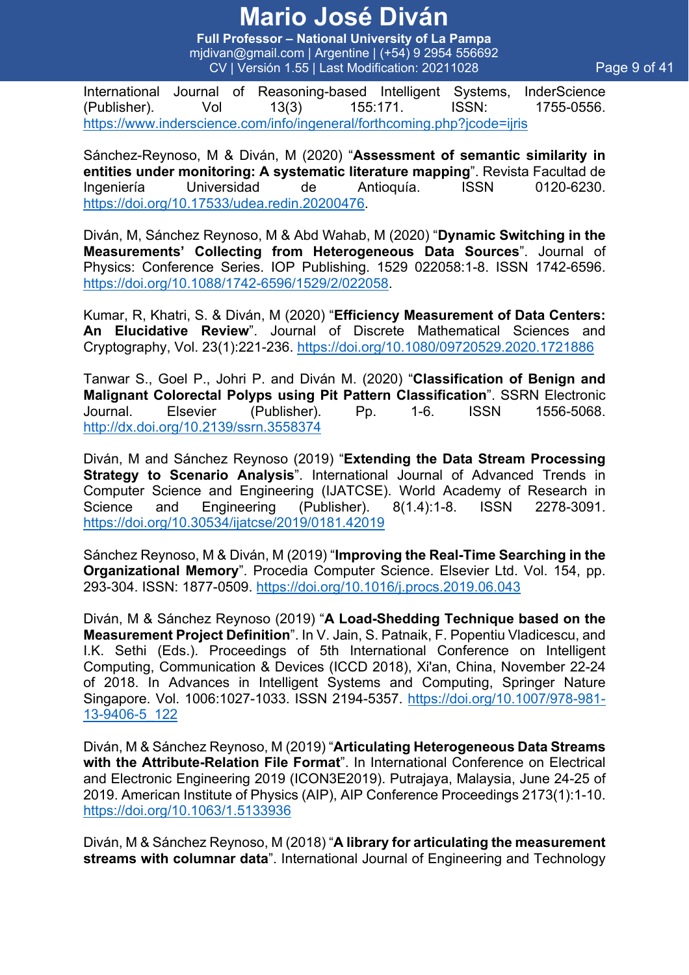**Full Professor – National University of La Pampa** mjdivan@gmail.com | Argentine | (+54) 9 2954 556692 CV | Versión 1.55 | Last Modification: 20211028 Page 9 of 41

International Journal of Reasoning-based Intelligent Systems, InderScience (Publisher). Vol 13(3) 155:171. ISSN: 1755-0556. https://www.inderscience.com/info/ingeneral/forthcoming.php?jcode=ijris

Sánchez-Reynoso, M & Diván, M (2020) "**Assessment of semantic similarity in entities under monitoring: A systematic literature mapping**". Revista Facultad de Ingeniería Universidad de Antioquía. ISSN 0120-6230. https://doi.org/10.17533/udea.redin.20200476.

Diván, M, Sánchez Reynoso, M & Abd Wahab, M (2020) "**Dynamic Switching in the Measurements' Collecting from Heterogeneous Data Sources**". Journal of Physics: Conference Series. IOP Publishing. 1529 022058:1-8. ISSN 1742-6596. https://doi.org/10.1088/1742-6596/1529/2/022058.

Kumar, R, Khatri, S. & Diván, M (2020) "**Efficiency Measurement of Data Centers: An Elucidative Review**". Journal of Discrete Mathematical Sciences and Cryptography, Vol. 23(1):221-236. https://doi.org/10.1080/09720529.2020.1721886

Tanwar S., Goel P., Johri P. and Diván M. (2020) "**Classification of Benign and Malignant Colorectal Polyps using Pit Pattern Classification**". SSRN Electronic Journal. Elsevier (Publisher). Pp. 1-6. ISSN 1556-5068. http://dx.doi.org/10.2139/ssrn.3558374

Diván, M and Sánchez Reynoso (2019) "**Extending the Data Stream Processing Strategy to Scenario Analysis**". International Journal of Advanced Trends in Computer Science and Engineering (IJATCSE). World Academy of Research in Science and Engineering (Publisher). 8(1.4):1-8. ISSN 2278-3091. https://doi.org/10.30534/ijatcse/2019/0181.42019

Sánchez Reynoso, M & Diván, M (2019) "**Improving the Real-Time Searching in the Organizational Memory**". Procedia Computer Science. Elsevier Ltd. Vol. 154, pp. 293-304. ISSN: 1877-0509. https://doi.org/10.1016/j.procs.2019.06.043

Diván, M & Sánchez Reynoso (2019) "**A Load-Shedding Technique based on the Measurement Project Definition**". In V. Jain, S. Patnaik, F. Popentiu Vladicescu, and I.K. Sethi (Eds.). Proceedings of 5th International Conference on Intelligent Computing, Communication & Devices (ICCD 2018), Xi'an, China, November 22-24 of 2018. In Advances in Intelligent Systems and Computing, Springer Nature Singapore. Vol. 1006:1027-1033. ISSN 2194-5357. https://doi.org/10.1007/978-981- 13-9406-5\_122

Diván, M & Sánchez Reynoso, M (2019) "**Articulating Heterogeneous Data Streams with the Attribute-Relation File Format**". In International Conference on Electrical and Electronic Engineering 2019 (ICON3E2019). Putrajaya, Malaysia, June 24-25 of 2019. American Institute of Physics (AIP), AIP Conference Proceedings 2173(1):1-10. https://doi.org/10.1063/1.5133936

Diván, M & Sánchez Reynoso, M (2018) "**A library for articulating the measurement streams with columnar data**". International Journal of Engineering and Technology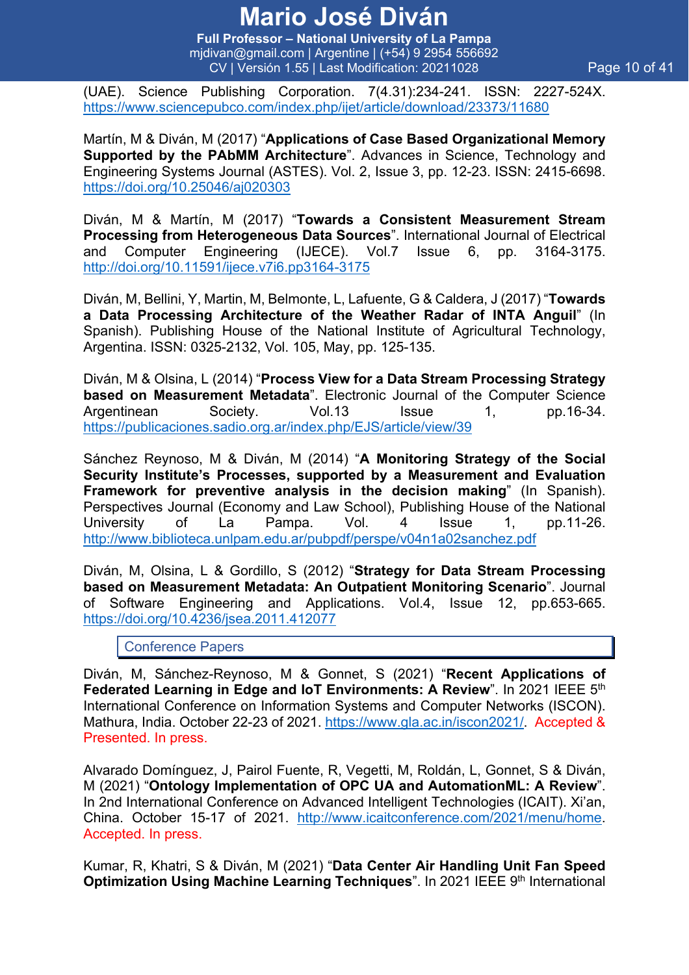**Full Professor – National University of La Pampa** mjdivan@gmail.com | Argentine | (+54) 9 2954 556692 CV | Versión 1.55 | Last Modification: 20211028 Page 10 of 41

(UAE). Science Publishing Corporation. 7(4.31):234-241. ISSN: 2227-524X. https://www.sciencepubco.com/index.php/ijet/article/download/23373/11680

Martín, M & Diván, M (2017) "**Applications of Case Based Organizational Memory Supported by the PAbMM Architecture**". Advances in Science, Technology and Engineering Systems Journal (ASTES). Vol. 2, Issue 3, pp. 12-23. ISSN: 2415-6698. https://doi.org/10.25046/aj020303

Diván, M & Martín, M (2017) "**Towards a Consistent Measurement Stream Processing from Heterogeneous Data Sources**". International Journal of Electrical and Computer Engineering (IJECE). Vol.7 Issue 6, pp. 3164-3175. http://doi.org/10.11591/ijece.v7i6.pp3164-3175

Diván, M, Bellini, Y, Martin, M, Belmonte, L, Lafuente, G & Caldera, J (2017) "**Towards a Data Processing Architecture of the Weather Radar of INTA Anguil**" (In Spanish). Publishing House of the National Institute of Agricultural Technology, Argentina. ISSN: 0325-2132, Vol. 105, May, pp. 125-135.

Diván, M & Olsina, L (2014) "**Process View for a Data Stream Processing Strategy based on Measurement Metadata**". Electronic Journal of the Computer Science Argentinean Society. Vol.13 Issue 1, pp.16-34. https://publicaciones.sadio.org.ar/index.php/EJS/article/view/39

Sánchez Reynoso, M & Diván, M (2014) "**A Monitoring Strategy of the Social Security Institute's Processes, supported by a Measurement and Evaluation Framework for preventive analysis in the decision making**" (In Spanish). Perspectives Journal (Economy and Law School), Publishing House of the National University of La Pampa. Vol. 4 Issue 1, pp.11-26. http://www.biblioteca.unlpam.edu.ar/pubpdf/perspe/v04n1a02sanchez.pdf

Diván, M, Olsina, L & Gordillo, S (2012) "**Strategy for Data Stream Processing based on Measurement Metadata: An Outpatient Monitoring Scenario**". Journal of Software Engineering and Applications. Vol.4, Issue 12, pp.653-665. https://doi.org/10.4236/jsea.2011.412077

Conference Papers

Diván, M, Sánchez-Reynoso, M & Gonnet, S (2021) "**Recent Applications of Federated Learning in Edge and IoT Environments: A Review**". In 2021 IEEE 5th International Conference on Information Systems and Computer Networks (ISCON). Mathura, India. October 22-23 of 2021. https://www.gla.ac.in/iscon2021/. Accepted & Presented. In press.

Alvarado Domínguez, J, Pairol Fuente, R, Vegetti, M, Roldán, L, Gonnet, S & Diván, M (2021) "**Ontology Implementation of OPC UA and AutomationML: A Review**". In 2nd International Conference on Advanced Intelligent Technologies (ICAIT). Xi'an, China. October 15-17 of 2021. http://www.icaitconference.com/2021/menu/home. Accepted. In press.

Kumar, R, Khatri, S & Diván, M (2021) "**Data Center Air Handling Unit Fan Speed Optimization Using Machine Learning Techniques**". In 2021 IEEE 9th International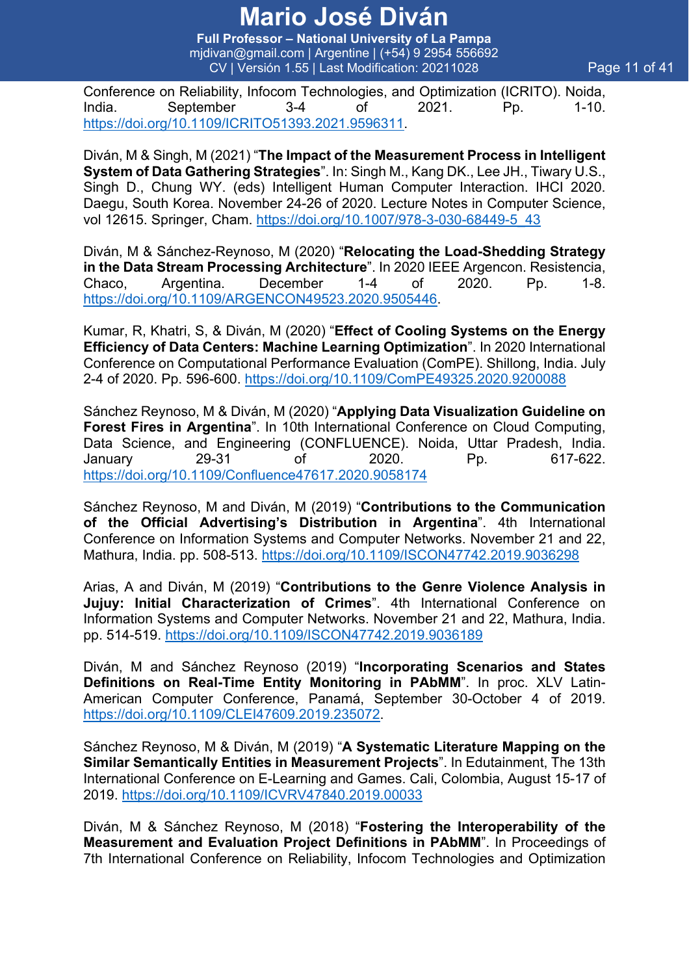**Full Professor – National University of La Pampa** mjdivan@gmail.com | Argentine | (+54) 9 2954 556692 CV | Versión 1.55 | Last Modification: 20211028 Page 11 of 41

Conference on Reliability, Infocom Technologies, and Optimization (ICRITO). Noida, India. September 3-4 of 2021. Pp. 1-10. https://doi.org/10.1109/ICRITO51393.2021.9596311.

Diván, M & Singh, M (2021) "**The Impact of the Measurement Process in Intelligent System of Data Gathering Strategies**". In: Singh M., Kang DK., Lee JH., Tiwary U.S., Singh D., Chung WY. (eds) Intelligent Human Computer Interaction. IHCI 2020. Daegu, South Korea. November 24-26 of 2020. Lecture Notes in Computer Science, vol 12615. Springer, Cham. https://doi.org/10.1007/978-3-030-68449-5\_43

Diván, M & Sánchez-Reynoso, M (2020) "**Relocating the Load-Shedding Strategy in the Data Stream Processing Architecture**". In 2020 IEEE Argencon. Resistencia, Chaco, Argentina. December 1-4 of 2020. Pp. 1-8. https://doi.org/10.1109/ARGENCON49523.2020.9505446.

Kumar, R, Khatri, S, & Diván, M (2020) "**Effect of Cooling Systems on the Energy Efficiency of Data Centers: Machine Learning Optimization**". In 2020 International Conference on Computational Performance Evaluation (ComPE). Shillong, India. July 2-4 of 2020. Pp. 596-600. https://doi.org/10.1109/ComPE49325.2020.9200088

Sánchez Reynoso, M & Diván, M (2020) "**Applying Data Visualization Guideline on Forest Fires in Argentina**". In 10th International Conference on Cloud Computing, Data Science, and Engineering (CONFLUENCE). Noida, Uttar Pradesh, India. January 29-31 of 2020. Pp. 617-622. https://doi.org/10.1109/Confluence47617.2020.9058174

Sánchez Reynoso, M and Diván, M (2019) "**Contributions to the Communication of the Official Advertising's Distribution in Argentina**". 4th International Conference on Information Systems and Computer Networks. November 21 and 22, Mathura, India. pp. 508-513. https://doi.org/10.1109/ISCON47742.2019.9036298

Arias, A and Diván, M (2019) "**Contributions to the Genre Violence Analysis in Jujuy: Initial Characterization of Crimes**". 4th International Conference on Information Systems and Computer Networks. November 21 and 22, Mathura, India. pp. 514-519. https://doi.org/10.1109/ISCON47742.2019.9036189

Diván, M and Sánchez Reynoso (2019) "**Incorporating Scenarios and States Definitions on Real-Time Entity Monitoring in PAbMM**". In proc. XLV Latin-American Computer Conference, Panamá, September 30-October 4 of 2019. https://doi.org/10.1109/CLEI47609.2019.235072.

Sánchez Reynoso, M & Diván, M (2019) "**A Systematic Literature Mapping on the Similar Semantically Entities in Measurement Projects**". In Edutainment, The 13th International Conference on E-Learning and Games. Cali, Colombia, August 15-17 of 2019. https://doi.org/10.1109/ICVRV47840.2019.00033

Diván, M & Sánchez Reynoso, M (2018) "**Fostering the Interoperability of the Measurement and Evaluation Project Definitions in PAbMM**". In Proceedings of 7th International Conference on Reliability, Infocom Technologies and Optimization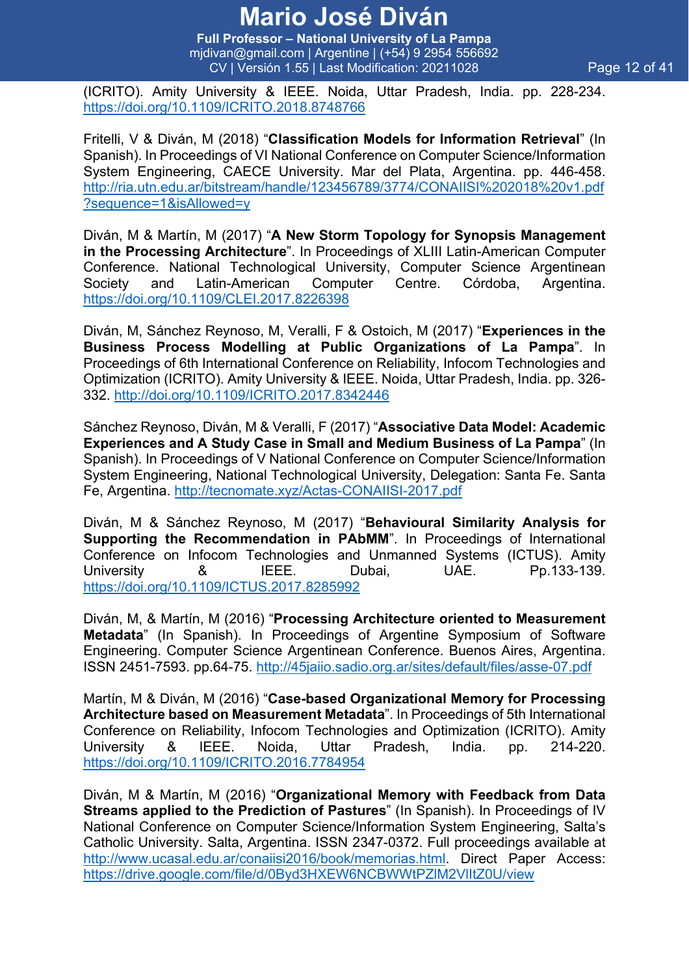**Full Professor – National University of La Pampa** mjdivan@gmail.com | Argentine | (+54) 9 2954 556692 CV | Versión 1.55 | Last Modification: 20211028 Page 12 of 41

(ICRITO). Amity University & IEEE. Noida, Uttar Pradesh, India. pp. 228-234. https://doi.org/10.1109/ICRITO.2018.8748766

Fritelli, V & Diván, M (2018) "**Classification Models for Information Retrieval**" (In Spanish). In Proceedings of VI National Conference on Computer Science/Information System Engineering, CAECE University. Mar del Plata, Argentina. pp. 446-458. http://ria.utn.edu.ar/bitstream/handle/123456789/3774/CONAIISI%202018%20v1.pdf ?sequence=1&isAllowed=y

Diván, M & Martín, M (2017) "**A New Storm Topology for Synopsis Management in the Processing Architecture**". In Proceedings of XLIII Latin-American Computer Conference. National Technological University, Computer Science Argentinean Society and Latin-American Computer Centre. Córdoba, Argentina. https://doi.org/10.1109/CLEI.2017.8226398

Diván, M, Sánchez Reynoso, M, Veralli, F & Ostoich, M (2017) "**Experiences in the Business Process Modelling at Public Organizations of La Pampa**". In Proceedings of 6th International Conference on Reliability, Infocom Technologies and Optimization (ICRITO). Amity University & IEEE. Noida, Uttar Pradesh, India. pp. 326- 332. http://doi.org/10.1109/ICRITO.2017.8342446

Sánchez Reynoso, Diván, M & Veralli, F (2017) "**Associative Data Model: Academic Experiences and A Study Case in Small and Medium Business of La Pampa**" (In Spanish). In Proceedings of V National Conference on Computer Science/Information System Engineering, National Technological University, Delegation: Santa Fe. Santa Fe, Argentina. http://tecnomate.xyz/Actas-CONAIISI-2017.pdf

Diván, M & Sánchez Reynoso, M (2017) "**Behavioural Similarity Analysis for Supporting the Recommendation in PAbMM**". In Proceedings of International Conference on Infocom Technologies and Unmanned Systems (ICTUS). Amity University 8 IEEE. Dubai, UAE. Pp.133-139. https://doi.org/10.1109/ICTUS.2017.8285992

Diván, M, & Martín, M (2016) "**Processing Architecture oriented to Measurement Metadata**" (In Spanish). In Proceedings of Argentine Symposium of Software Engineering. Computer Science Argentinean Conference. Buenos Aires, Argentina. ISSN 2451-7593. pp.64-75. http://45jaiio.sadio.org.ar/sites/default/files/asse-07.pdf

Martín, M & Diván, M (2016) "**Case-based Organizational Memory for Processing Architecture based on Measurement Metadata**". In Proceedings of 5th International Conference on Reliability, Infocom Technologies and Optimization (ICRITO). Amity University & IEEE. Noida, Uttar Pradesh, India. pp. 214-220. https://doi.org/10.1109/ICRITO.2016.7784954

Diván, M & Martín, M (2016) "**Organizational Memory with Feedback from Data Streams applied to the Prediction of Pastures**" (In Spanish). In Proceedings of IV National Conference on Computer Science/Information System Engineering, Salta's Catholic University. Salta, Argentina. ISSN 2347-0372. Full proceedings available at http://www.ucasal.edu.ar/conaiisi2016/book/memorias.html. Direct Paper Access: https://drive.google.com/file/d/0Byd3HXEW6NCBWWtPZlM2VlItZ0U/view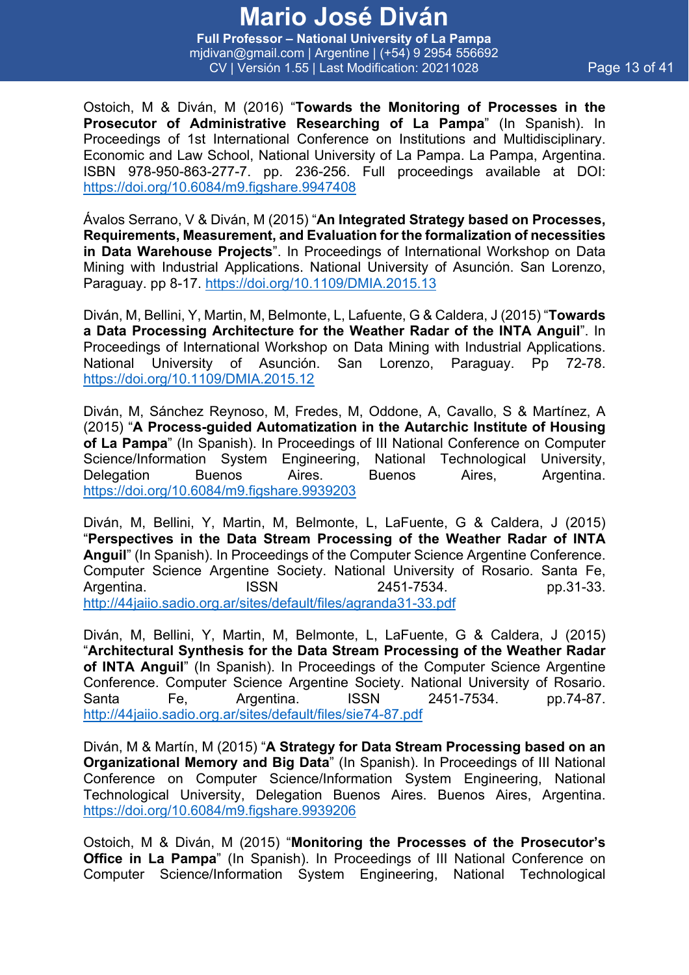**Full Professor – National University of La Pampa** mjdivan@gmail.com | Argentine | (+54) 9 2954 556692 CV | Versión 1.55 | Last Modification: 20211028 Page 13 of 41

Ostoich, M & Diván, M (2016) "**Towards the Monitoring of Processes in the Prosecutor of Administrative Researching of La Pampa**" (In Spanish). In Proceedings of 1st International Conference on Institutions and Multidisciplinary. Economic and Law School, National University of La Pampa. La Pampa, Argentina. ISBN 978-950-863-277-7. pp. 236-256. Full proceedings available at DOI: https://doi.org/10.6084/m9.figshare.9947408

Ávalos Serrano, V & Diván, M (2015) "**An Integrated Strategy based on Processes, Requirements, Measurement, and Evaluation for the formalization of necessities in Data Warehouse Projects**". In Proceedings of International Workshop on Data Mining with Industrial Applications. National University of Asunción. San Lorenzo, Paraguay. pp 8-17. https://doi.org/10.1109/DMIA.2015.13

Diván, M, Bellini, Y, Martin, M, Belmonte, L, Lafuente, G & Caldera, J (2015) "**Towards a Data Processing Architecture for the Weather Radar of the INTA Anguil**". In Proceedings of International Workshop on Data Mining with Industrial Applications. National University of Asunción. San Lorenzo, Paraguay. Pp 72-78. https://doi.org/10.1109/DMIA.2015.12

Diván, M, Sánchez Reynoso, M, Fredes, M, Oddone, A, Cavallo, S & Martínez, A (2015) "**A Process-guided Automatization in the Autarchic Institute of Housing of La Pampa**" (In Spanish). In Proceedings of III National Conference on Computer Science/Information System Engineering, National Technological University, Delegation Buenos Aires. Buenos Aires, Argentina. https://doi.org/10.6084/m9.figshare.9939203

Diván, M, Bellini, Y, Martin, M, Belmonte, L, LaFuente, G & Caldera, J (2015) "**Perspectives in the Data Stream Processing of the Weather Radar of INTA Anguil**" (In Spanish). In Proceedings of the Computer Science Argentine Conference. Computer Science Argentine Society. National University of Rosario. Santa Fe, Argentina. ISSN 2451-7534. pp.31-33. http://44jaiio.sadio.org.ar/sites/default/files/agranda31-33.pdf

Diván, M, Bellini, Y, Martin, M, Belmonte, L, LaFuente, G & Caldera, J (2015) "**Architectural Synthesis for the Data Stream Processing of the Weather Radar of INTA Anguil**" (In Spanish). In Proceedings of the Computer Science Argentine Conference. Computer Science Argentine Society. National University of Rosario. Santa Fe, Argentina. ISSN 2451-7534. pp.74-87. http://44jaiio.sadio.org.ar/sites/default/files/sie74-87.pdf

Diván, M & Martín, M (2015) "**A Strategy for Data Stream Processing based on an Organizational Memory and Big Data**" (In Spanish). In Proceedings of III National Conference on Computer Science/Information System Engineering, National Technological University, Delegation Buenos Aires. Buenos Aires, Argentina. https://doi.org/10.6084/m9.figshare.9939206

Ostoich, M & Diván, M (2015) "**Monitoring the Processes of the Prosecutor's Office in La Pampa**" (In Spanish). In Proceedings of III National Conference on Computer Science/Information System Engineering, National Technological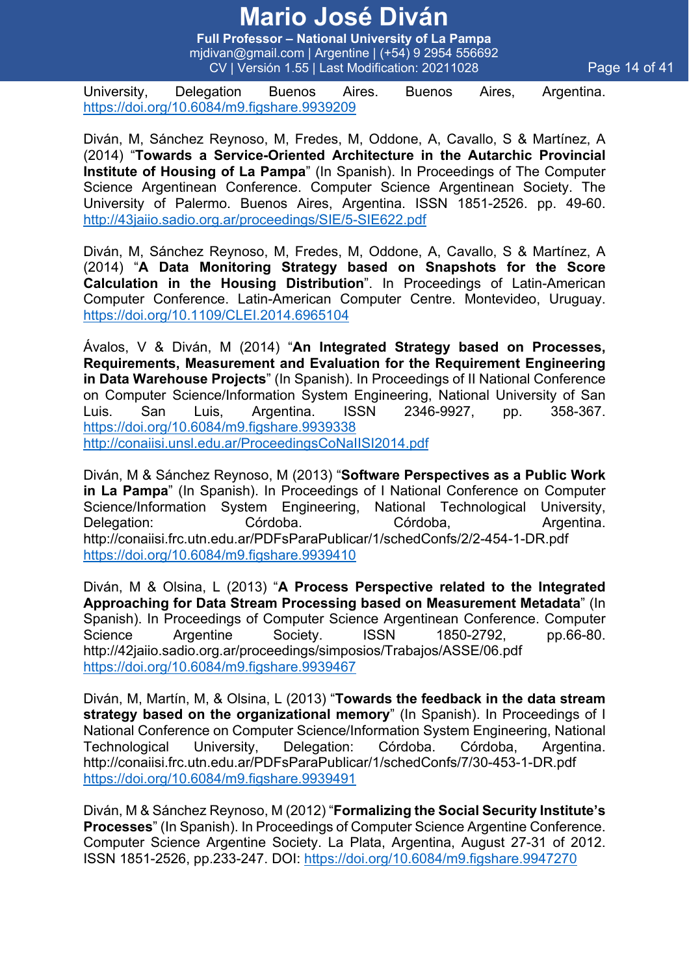**Full Professor – National University of La Pampa** mjdivan@gmail.com | Argentine | (+54) 9 2954 556692 CV | Versión 1.55 | Last Modification: 20211028 Page 14 of 41

University, Delegation Buenos Aires. Buenos Aires, Argentina. https://doi.org/10.6084/m9.figshare.9939209

Diván, M, Sánchez Reynoso, M, Fredes, M, Oddone, A, Cavallo, S & Martínez, A (2014) "**Towards a Service-Oriented Architecture in the Autarchic Provincial Institute of Housing of La Pampa**" (In Spanish). In Proceedings of The Computer Science Argentinean Conference. Computer Science Argentinean Society. The University of Palermo. Buenos Aires, Argentina. ISSN 1851-2526. pp. 49-60. http://43jaiio.sadio.org.ar/proceedings/SIE/5-SIE622.pdf

Diván, M, Sánchez Reynoso, M, Fredes, M, Oddone, A, Cavallo, S & Martínez, A (2014) "**A Data Monitoring Strategy based on Snapshots for the Score Calculation in the Housing Distribution**". In Proceedings of Latin-American Computer Conference. Latin-American Computer Centre. Montevideo, Uruguay. https://doi.org/10.1109/CLEI.2014.6965104

Ávalos, V & Diván, M (2014) "**An Integrated Strategy based on Processes, Requirements, Measurement and Evaluation for the Requirement Engineering in Data Warehouse Projects**" (In Spanish). In Proceedings of II National Conference on Computer Science/Information System Engineering, National University of San Luis. San Luis, Argentina. ISSN 2346-9927, pp. 358-367. https://doi.org/10.6084/m9.figshare.9939338 http://conaiisi.unsl.edu.ar/ProceedingsCoNaIISI2014.pdf

Diván, M & Sánchez Reynoso, M (2013) "**Software Perspectives as a Public Work in La Pampa**" (In Spanish). In Proceedings of I National Conference on Computer Science/Information System Engineering, National Technological University, Delegation: Córdoba. Córdoba, Argentina. http://conaiisi.frc.utn.edu.ar/PDFsParaPublicar/1/schedConfs/2/2-454-1-DR.pdf https://doi.org/10.6084/m9.figshare.9939410

Diván, M & Olsina, L (2013) "**A Process Perspective related to the Integrated Approaching for Data Stream Processing based on Measurement Metadata**" (In Spanish). In Proceedings of Computer Science Argentinean Conference. Computer Science Argentine Society. ISSN 1850-2792, pp.66-80. http://42jaiio.sadio.org.ar/proceedings/simposios/Trabajos/ASSE/06.pdf https://doi.org/10.6084/m9.figshare.9939467

Diván, M, Martín, M, & Olsina, L (2013) "**Towards the feedback in the data stream strategy based on the organizational memory**" (In Spanish). In Proceedings of I National Conference on Computer Science/Information System Engineering, National Technological University, Delegation: Córdoba. Córdoba, Argentina. http://conaiisi.frc.utn.edu.ar/PDFsParaPublicar/1/schedConfs/7/30-453-1-DR.pdf https://doi.org/10.6084/m9.figshare.9939491

Diván, M & Sánchez Reynoso, M (2012) "**Formalizing the Social Security Institute's Processes**" (In Spanish). In Proceedings of Computer Science Argentine Conference. Computer Science Argentine Society. La Plata, Argentina, August 27-31 of 2012. ISSN 1851-2526, pp.233-247. DOI: https://doi.org/10.6084/m9.figshare.9947270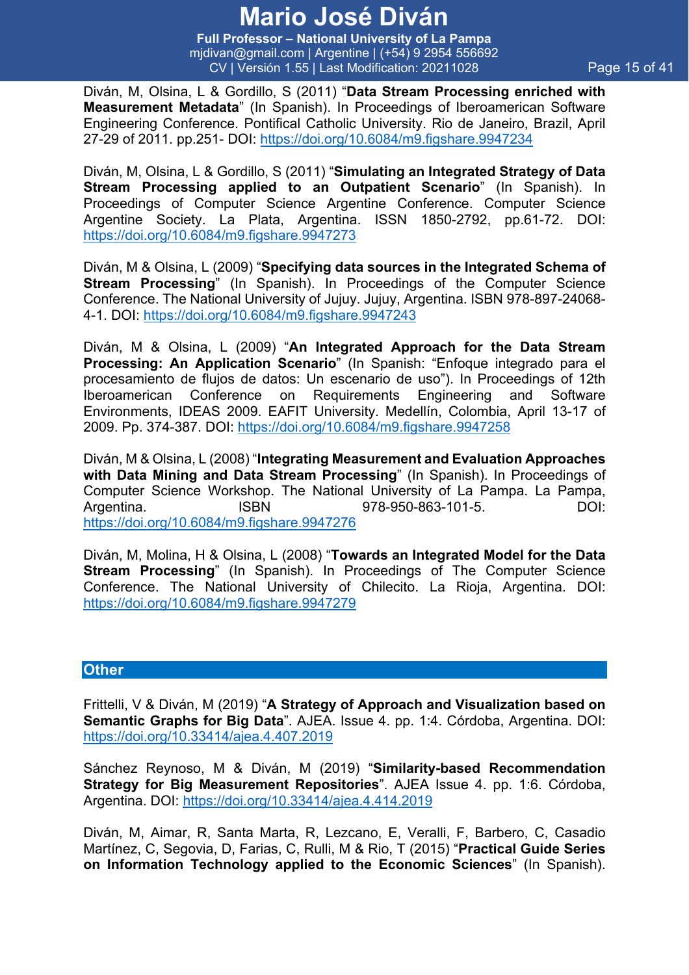**Full Professor – National University of La Pampa** mjdivan@gmail.com | Argentine | (+54) 9 2954 556692 CV | Versión 1.55 | Last Modification: 20211028 Page 15 of 41

Diván, M, Olsina, L & Gordillo, S (2011) "**Data Stream Processing enriched with Measurement Metadata**" (In Spanish). In Proceedings of Iberoamerican Software Engineering Conference. Pontifical Catholic University. Rio de Janeiro, Brazil, April 27-29 of 2011. pp.251- DOI: https://doi.org/10.6084/m9.figshare.9947234

Diván, M, Olsina, L & Gordillo, S (2011) "**Simulating an Integrated Strategy of Data Stream Processing applied to an Outpatient Scenario**" (In Spanish). In Proceedings of Computer Science Argentine Conference. Computer Science Argentine Society. La Plata, Argentina. ISSN 1850-2792, pp.61-72. DOI: https://doi.org/10.6084/m9.figshare.9947273

Diván, M & Olsina, L (2009) "**Specifying data sources in the Integrated Schema of Stream Processing**" (In Spanish). In Proceedings of the Computer Science Conference. The National University of Jujuy. Jujuy, Argentina. ISBN 978-897-24068- 4-1. DOI: https://doi.org/10.6084/m9.figshare.9947243

Diván, M & Olsina, L (2009) "**An Integrated Approach for the Data Stream Processing: An Application Scenario**" (In Spanish: "Enfoque integrado para el procesamiento de flujos de datos: Un escenario de uso"). In Proceedings of 12th Iberoamerican Conference on Requirements Engineering and Software Environments, IDEAS 2009. EAFIT University. Medellín, Colombia, April 13-17 of 2009. Pp. 374-387. DOI: https://doi.org/10.6084/m9.figshare.9947258

Diván, M & Olsina, L (2008) "**Integrating Measurement and Evaluation Approaches with Data Mining and Data Stream Processing**" (In Spanish). In Proceedings of Computer Science Workshop. The National University of La Pampa. La Pampa, Argentina. ISBN 978-950-863-101-5. DOI: https://doi.org/10.6084/m9.figshare.9947276

Diván, M, Molina, H & Olsina, L (2008) "**Towards an Integrated Model for the Data Stream Processing**" (In Spanish). In Proceedings of The Computer Science Conference. The National University of Chilecito. La Rioja, Argentina. DOI: https://doi.org/10.6084/m9.figshare.9947279

#### **Other**

Frittelli, V & Diván, M (2019) "**A Strategy of Approach and Visualization based on Semantic Graphs for Big Data**". AJEA. Issue 4. pp. 1:4. Córdoba, Argentina. DOI: https://doi.org/10.33414/ajea.4.407.2019

Sánchez Reynoso, M & Diván, M (2019) "**Similarity-based Recommendation Strategy for Big Measurement Repositories**". AJEA Issue 4. pp. 1:6. Córdoba, Argentina. DOI: https://doi.org/10.33414/ajea.4.414.2019

Diván, M, Aimar, R, Santa Marta, R, Lezcano, E, Veralli, F, Barbero, C, Casadio Martínez, C, Segovia, D, Farias, C, Rulli, M & Rio, T (2015) "**Practical Guide Series on Information Technology applied to the Economic Sciences**" (In Spanish).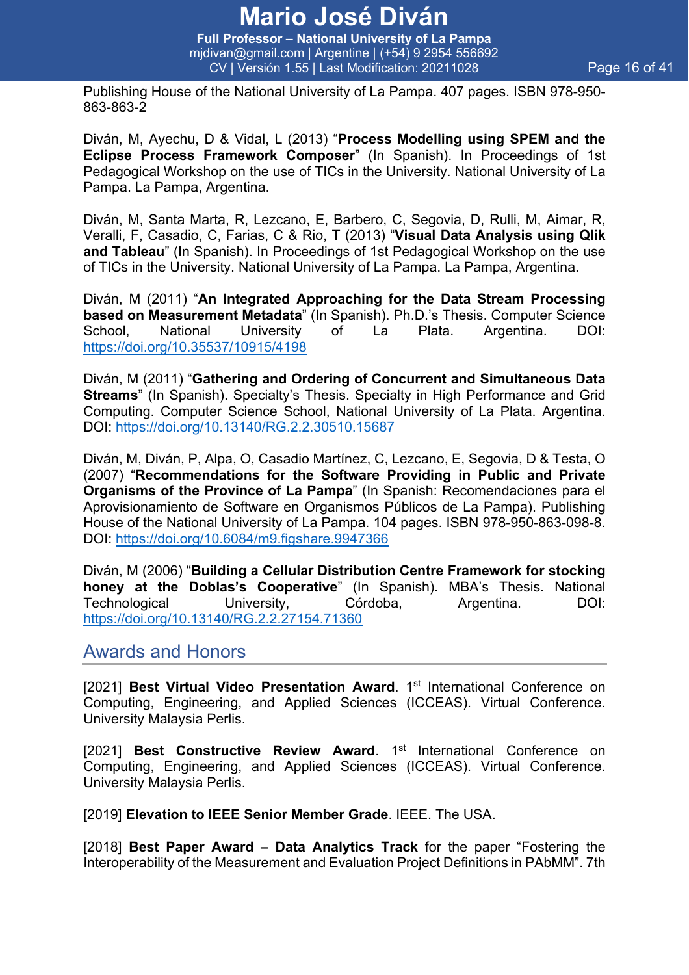**Full Professor – National University of La Pampa** mjdivan@gmail.com | Argentine | (+54) 9 2954 556692 CV | Versión 1.55 | Last Modification: 20211028 Page 16 of 41

Publishing House of the National University of La Pampa. 407 pages. ISBN 978-950- 863-863-2

Diván, M, Ayechu, D & Vidal, L (2013) "**Process Modelling using SPEM and the Eclipse Process Framework Composer**" (In Spanish). In Proceedings of 1st Pedagogical Workshop on the use of TICs in the University. National University of La Pampa. La Pampa, Argentina.

Diván, M, Santa Marta, R, Lezcano, E, Barbero, C, Segovia, D, Rulli, M, Aimar, R, Veralli, F, Casadio, C, Farias, C & Rio, T (2013) "**Visual Data Analysis using Qlik and Tableau**" (In Spanish). In Proceedings of 1st Pedagogical Workshop on the use of TICs in the University. National University of La Pampa. La Pampa, Argentina.

Diván, M (2011) "**An Integrated Approaching for the Data Stream Processing based on Measurement Metadata**" (In Spanish). Ph.D.'s Thesis. Computer Science School, National University of La Plata. Argentina. DOI: https://doi.org/10.35537/10915/4198

Diván, M (2011) "**Gathering and Ordering of Concurrent and Simultaneous Data Streams**" (In Spanish). Specialty's Thesis. Specialty in High Performance and Grid Computing. Computer Science School, National University of La Plata. Argentina. DOI: https://doi.org/10.13140/RG.2.2.30510.15687

Diván, M, Diván, P, Alpa, O, Casadio Martínez, C, Lezcano, E, Segovia, D & Testa, O (2007) "**Recommendations for the Software Providing in Public and Private Organisms of the Province of La Pampa**" (In Spanish: Recomendaciones para el Aprovisionamiento de Software en Organismos Públicos de La Pampa). Publishing House of the National University of La Pampa. 104 pages. ISBN 978-950-863-098-8. DOI: https://doi.org/10.6084/m9.figshare.9947366

Diván, M (2006) "**Building a Cellular Distribution Centre Framework for stocking honey at the Doblas's Cooperative**" (In Spanish). MBA's Thesis. National Technological University, Córdoba, Argentina. DOI: https://doi.org/10.13140/RG.2.2.27154.71360

#### Awards and Honors

[2021] **Best Virtual Video Presentation Award**. 1<sup>st</sup> International Conference on Computing, Engineering, and Applied Sciences (ICCEAS). Virtual Conference. University Malaysia Perlis.

[2021] **Best Constructive Review Award**. 1<sup>st</sup> International Conference on Computing, Engineering, and Applied Sciences (ICCEAS). Virtual Conference. University Malaysia Perlis.

[2019] **Elevation to IEEE Senior Member Grade**. IEEE. The USA.

[2018] **Best Paper Award – Data Analytics Track** for the paper "Fostering the Interoperability of the Measurement and Evaluation Project Definitions in PAbMM". 7th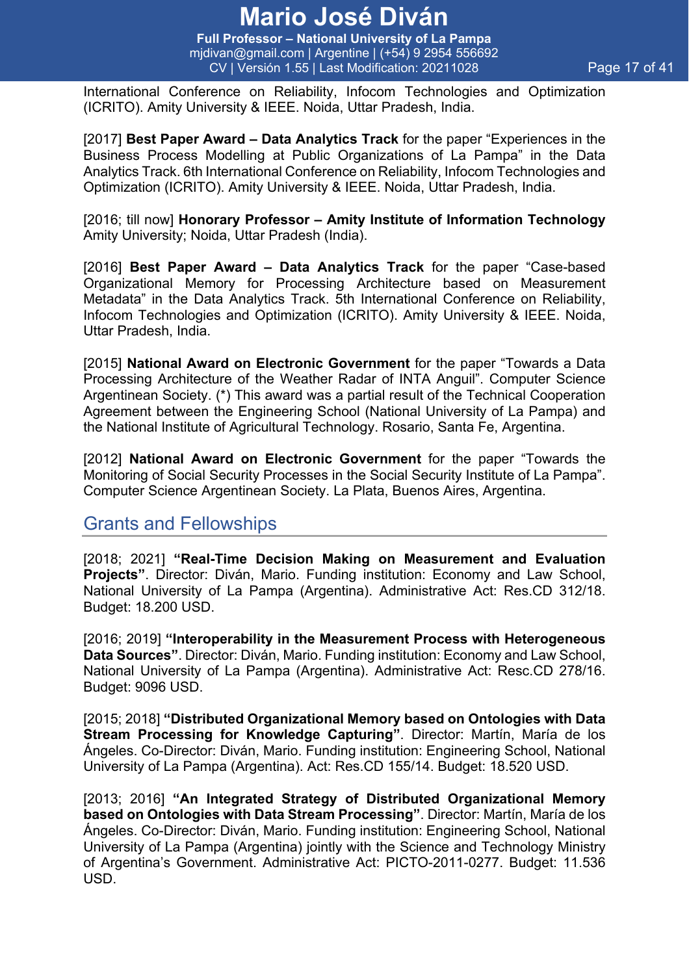**Full Professor – National University of La Pampa** mjdivan@gmail.com | Argentine | (+54) 9 2954 556692 CV | Versión 1.55 | Last Modification: 20211028 Page 17 of 41

International Conference on Reliability, Infocom Technologies and Optimization (ICRITO). Amity University & IEEE. Noida, Uttar Pradesh, India.

[2017] **Best Paper Award – Data Analytics Track** for the paper "Experiences in the Business Process Modelling at Public Organizations of La Pampa" in the Data Analytics Track. 6th International Conference on Reliability, Infocom Technologies and Optimization (ICRITO). Amity University & IEEE. Noida, Uttar Pradesh, India.

[2016; till now] **Honorary Professor – Amity Institute of Information Technology**  Amity University; Noida, Uttar Pradesh (India).

[2016] **Best Paper Award – Data Analytics Track** for the paper "Case-based Organizational Memory for Processing Architecture based on Measurement Metadata" in the Data Analytics Track. 5th International Conference on Reliability, Infocom Technologies and Optimization (ICRITO). Amity University & IEEE. Noida, Uttar Pradesh, India.

[2015] **National Award on Electronic Government** for the paper "Towards a Data Processing Architecture of the Weather Radar of INTA Anguil". Computer Science Argentinean Society. (\*) This award was a partial result of the Technical Cooperation Agreement between the Engineering School (National University of La Pampa) and the National Institute of Agricultural Technology. Rosario, Santa Fe, Argentina.

[2012] **National Award on Electronic Government** for the paper "Towards the Monitoring of Social Security Processes in the Social Security Institute of La Pampa". Computer Science Argentinean Society. La Plata, Buenos Aires, Argentina.

### Grants and Fellowships

[2018; 2021] **"Real-Time Decision Making on Measurement and Evaluation Projects"**. Director: Diván, Mario. Funding institution: Economy and Law School, National University of La Pampa (Argentina). Administrative Act: Res.CD 312/18. Budget: 18.200 USD.

[2016; 2019] **"Interoperability in the Measurement Process with Heterogeneous Data Sources"**. Director: Diván, Mario. Funding institution: Economy and Law School, National University of La Pampa (Argentina). Administrative Act: Resc.CD 278/16. Budget: 9096 USD.

[2015; 2018] **"Distributed Organizational Memory based on Ontologies with Data Stream Processing for Knowledge Capturing".** Director: Martín, María de los Ángeles. Co-Director: Diván, Mario. Funding institution: Engineering School, National University of La Pampa (Argentina). Act: Res.CD 155/14. Budget: 18.520 USD.

[2013; 2016] **"An Integrated Strategy of Distributed Organizational Memory based on Ontologies with Data Stream Processing"**. Director: Martín, María de los Ángeles. Co-Director: Diván, Mario. Funding institution: Engineering School, National University of La Pampa (Argentina) jointly with the Science and Technology Ministry of Argentina's Government. Administrative Act: PICTO-2011-0277. Budget: 11.536 USD.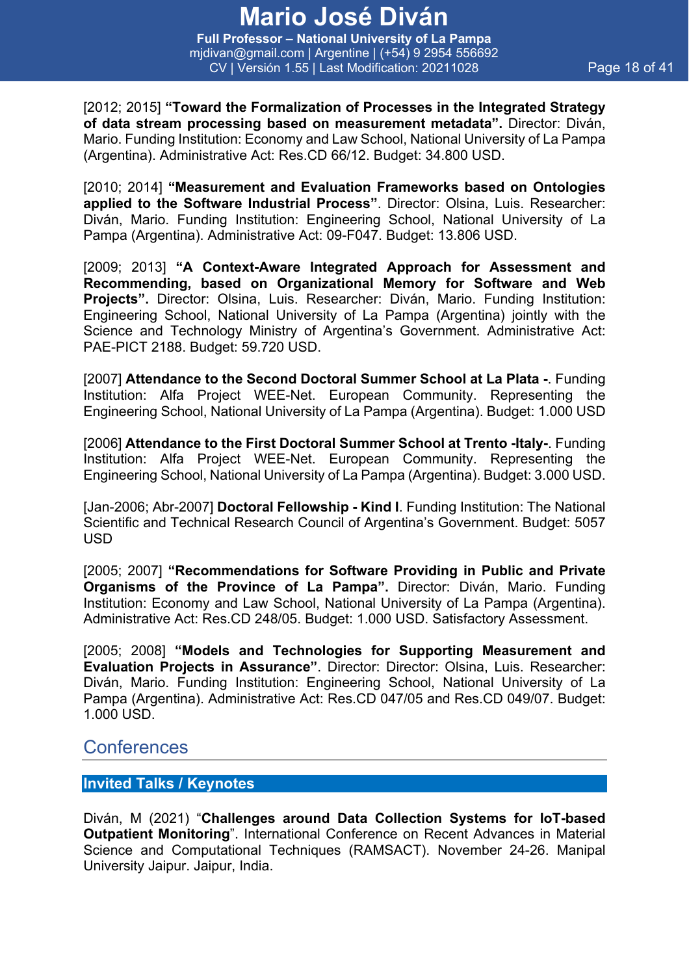**Full Professor – National University of La Pampa** mjdivan@gmail.com | Argentine | (+54) 9 2954 556692 CV | Versión 1.55 | Last Modification: 20211028 Page 18 of 41

[2012; 2015] **"Toward the Formalization of Processes in the Integrated Strategy of data stream processing based on measurement metadata".** Director: Diván, Mario. Funding Institution: Economy and Law School, National University of La Pampa (Argentina). Administrative Act: Res.CD 66/12. Budget: 34.800 USD.

[2010; 2014] **"Measurement and Evaluation Frameworks based on Ontologies applied to the Software Industrial Process"**. Director: Olsina, Luis. Researcher: Diván, Mario. Funding Institution: Engineering School, National University of La Pampa (Argentina). Administrative Act: 09-F047. Budget: 13.806 USD.

[2009; 2013] **"A Context-Aware Integrated Approach for Assessment and Recommending, based on Organizational Memory for Software and Web Projects".** Director: Olsina, Luis. Researcher: Diván, Mario. Funding Institution: Engineering School, National University of La Pampa (Argentina) jointly with the Science and Technology Ministry of Argentina's Government. Administrative Act: PAE-PICT 2188. Budget: 59.720 USD.

[2007] **Attendance to the Second Doctoral Summer School at La Plata -**. Funding Institution: Alfa Project WEE-Net. European Community. Representing the Engineering School, National University of La Pampa (Argentina). Budget: 1.000 USD

[2006] **Attendance to the First Doctoral Summer School at Trento -Italy-**. Funding Institution: Alfa Project WEE-Net. European Community. Representing the Engineering School, National University of La Pampa (Argentina). Budget: 3.000 USD.

[Jan-2006; Abr-2007] **Doctoral Fellowship - Kind I**. Funding Institution: The National Scientific and Technical Research Council of Argentina's Government. Budget: 5057 USD

[2005; 2007] **"Recommendations for Software Providing in Public and Private Organisms of the Province of La Pampa".** Director: Diván, Mario. Funding Institution: Economy and Law School, National University of La Pampa (Argentina). Administrative Act: Res.CD 248/05. Budget: 1.000 USD. Satisfactory Assessment.

[2005; 2008] **"Models and Technologies for Supporting Measurement and Evaluation Projects in Assurance"**. Director: Director: Olsina, Luis. Researcher: Diván, Mario. Funding Institution: Engineering School, National University of La Pampa (Argentina). Administrative Act: Res.CD 047/05 and Res.CD 049/07. Budget: 1.000 USD.

### Conferences

#### **Invited Talks / Keynotes**

Diván, M (2021) "**Challenges around Data Collection Systems for IoT-based Outpatient Monitoring**". International Conference on Recent Advances in Material Science and Computational Techniques (RAMSACT). November 24-26. Manipal University Jaipur. Jaipur, India.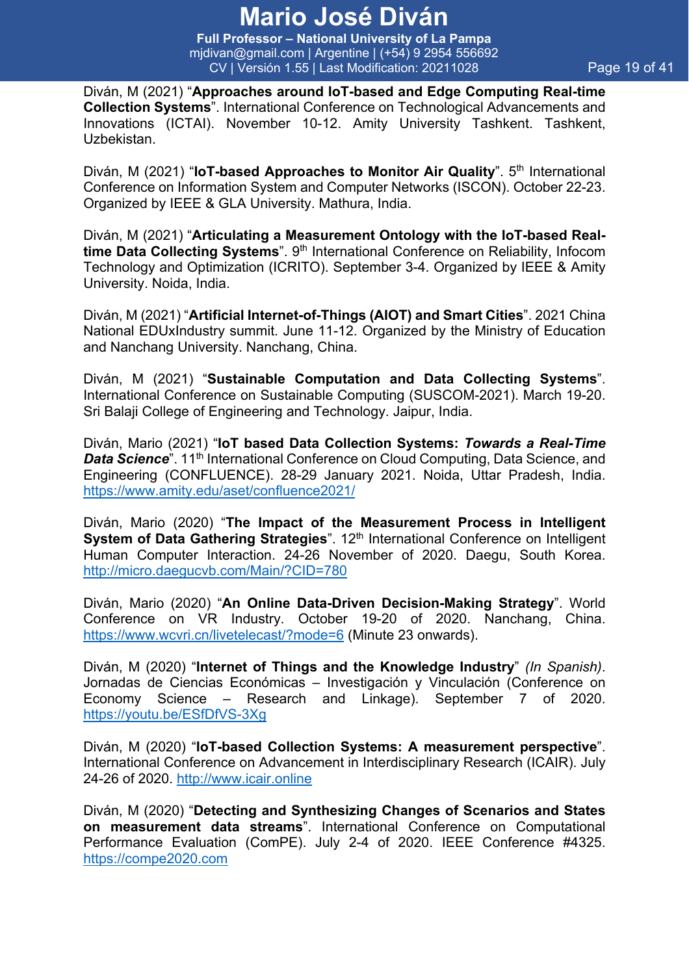**Full Professor – National University of La Pampa** mjdivan@gmail.com | Argentine | (+54) 9 2954 556692 CV | Versión 1.55 | Last Modification: 20211028 Page 19 of 41

Diván, M (2021) "**Approaches around IoT-based and Edge Computing Real-time Collection Systems**". International Conference on Technological Advancements and Innovations (ICTAI). November 10-12. Amity University Tashkent. Tashkent, Uzbekistan.

Diván, M (2021) "**IoT-based Approaches to Monitor Air Quality**". 5<sup>th</sup> International Conference on Information System and Computer Networks (ISCON). October 22-23. Organized by IEEE & GLA University. Mathura, India.

Diván, M (2021) "**Articulating a Measurement Ontology with the IoT-based Realtime Data Collecting Systems**". 9<sup>th</sup> International Conference on Reliability, Infocom Technology and Optimization (ICRITO). September 3-4. Organized by IEEE & Amity University. Noida, India.

Diván, M (2021) "**Artificial Internet-of-Things (AIOT) and Smart Cities**". 2021 China National EDUxIndustry summit. June 11-12. Organized by the Ministry of Education and Nanchang University. Nanchang, China.

Diván, M (2021) "**Sustainable Computation and Data Collecting Systems**". International Conference on Sustainable Computing (SUSCOM-2021). March 19-20. Sri Balaji College of Engineering and Technology. Jaipur, India.

Diván, Mario (2021) "**IoT based Data Collection Systems:** *Towards a Real-Time*  **Data Science**". 11<sup>th</sup> International Conference on Cloud Computing, Data Science, and Engineering (CONFLUENCE). 28-29 January 2021. Noida, Uttar Pradesh, India. https://www.amity.edu/aset/confluence2021/

Diván, Mario (2020) "**The Impact of the Measurement Process in Intelligent System of Data Gathering Strategies**". 12<sup>th</sup> International Conference on Intelligent Human Computer Interaction. 24-26 November of 2020. Daegu, South Korea. http://micro.daegucvb.com/Main/?CID=780

Diván, Mario (2020) "**An Online Data-Driven Decision-Making Strategy**". World Conference on VR Industry. October 19-20 of 2020. Nanchang, China. https://www.wcvri.cn/livetelecast/?mode=6 (Minute 23 onwards).

Diván, M (2020) "**Internet of Things and the Knowledge Industry**" *(In Spanish)*. Jornadas de Ciencias Económicas – Investigación y Vinculación (Conference on Economy Science – Research and Linkage). September 7 of 2020. https://youtu.be/ESfDfVS-3Xg

Diván, M (2020) "**IoT-based Collection Systems: A measurement perspective**". International Conference on Advancement in Interdisciplinary Research (ICAIR). July 24-26 of 2020. http://www.icair.online

Diván, M (2020) "**Detecting and Synthesizing Changes of Scenarios and States on measurement data streams**". International Conference on Computational Performance Evaluation (ComPE). July 2-4 of 2020. IEEE Conference #4325. https://compe2020.com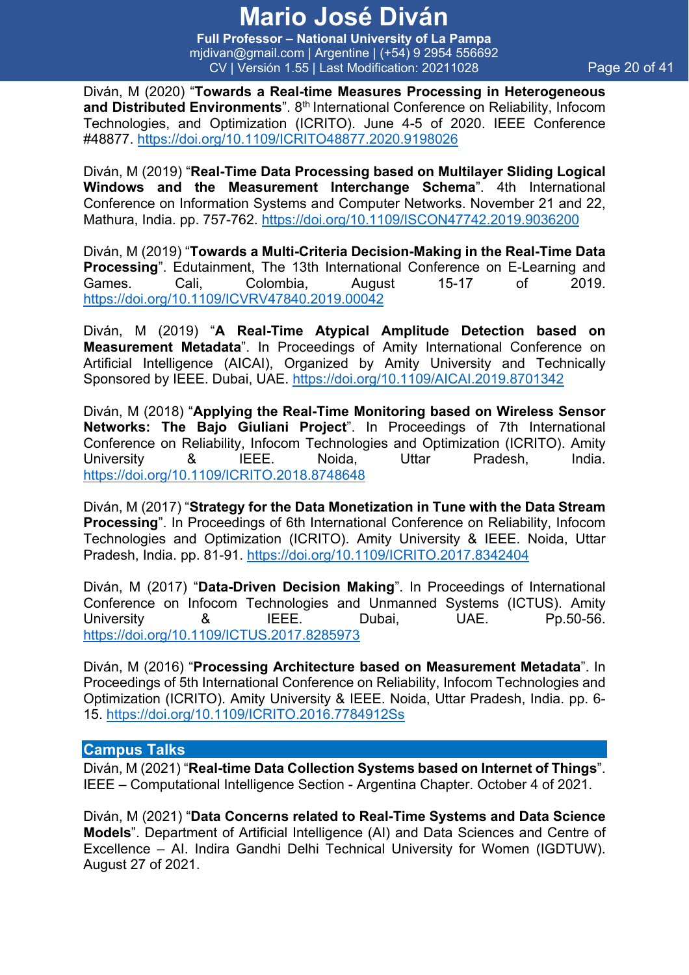**Full Professor – National University of La Pampa** mjdivan@gmail.com | Argentine | (+54) 9 2954 556692 CV | Versión 1.55 | Last Modification: 20211028 Page 20 of 41

Diván, M (2020) "**Towards a Real-time Measures Processing in Heterogeneous**  and Distributed Environments<sup>"</sup>. 8<sup>th</sup> International Conference on Reliability, Infocom Technologies, and Optimization (ICRITO). June 4-5 of 2020. IEEE Conference #48877. https://doi.org/10.1109/ICRITO48877.2020.9198026

Diván, M (2019) "**Real-Time Data Processing based on Multilayer Sliding Logical Windows and the Measurement Interchange Schema**". 4th International Conference on Information Systems and Computer Networks. November 21 and 22, Mathura, India. pp. 757-762. https://doi.org/10.1109/ISCON47742.2019.9036200

Diván, M (2019) "**Towards a Multi-Criteria Decision-Making in the Real-Time Data Processing**". Edutainment, The 13th International Conference on E-Learning and Games. Cali, Colombia, August 15-17 of 2019. https://doi.org/10.1109/ICVRV47840.2019.00042

Diván, M (2019) "**A Real-Time Atypical Amplitude Detection based on Measurement Metadata**". In Proceedings of Amity International Conference on Artificial Intelligence (AICAI), Organized by Amity University and Technically Sponsored by IEEE. Dubai, UAE. https://doi.org/10.1109/AICAI.2019.8701342

Diván, M (2018) "**Applying the Real-Time Monitoring based on Wireless Sensor Networks: The Bajo Giuliani Project**". In Proceedings of 7th International Conference on Reliability, Infocom Technologies and Optimization (ICRITO). Amity University & IEEE. Noida, Uttar Pradesh, India. https://doi.org/10.1109/ICRITO.2018.8748648

Diván, M (2017) "**Strategy for the Data Monetization in Tune with the Data Stream Processing**". In Proceedings of 6th International Conference on Reliability, Infocom Technologies and Optimization (ICRITO). Amity University & IEEE. Noida, Uttar Pradesh, India. pp. 81-91. https://doi.org/10.1109/ICRITO.2017.8342404

Diván, M (2017) "**Data-Driven Decision Making**". In Proceedings of International Conference on Infocom Technologies and Unmanned Systems (ICTUS). Amity University & IEEE. Dubai, UAE. Pp.50-56. https://doi.org/10.1109/ICTUS.2017.8285973

Diván, M (2016) "**Processing Architecture based on Measurement Metadata**". In Proceedings of 5th International Conference on Reliability, Infocom Technologies and Optimization (ICRITO). Amity University & IEEE. Noida, Uttar Pradesh, India. pp. 6- 15. https://doi.org/10.1109/ICRITO.2016.7784912Ss

#### **Campus Talks**

Diván, M (2021) "**Real-time Data Collection Systems based on Internet of Things**". IEEE – Computational Intelligence Section - Argentina Chapter. October 4 of 2021.

Diván, M (2021) "**Data Concerns related to Real-Time Systems and Data Science Models**". Department of Artificial Intelligence (AI) and Data Sciences and Centre of Excellence – AI. Indira Gandhi Delhi Technical University for Women (IGDTUW). August 27 of 2021.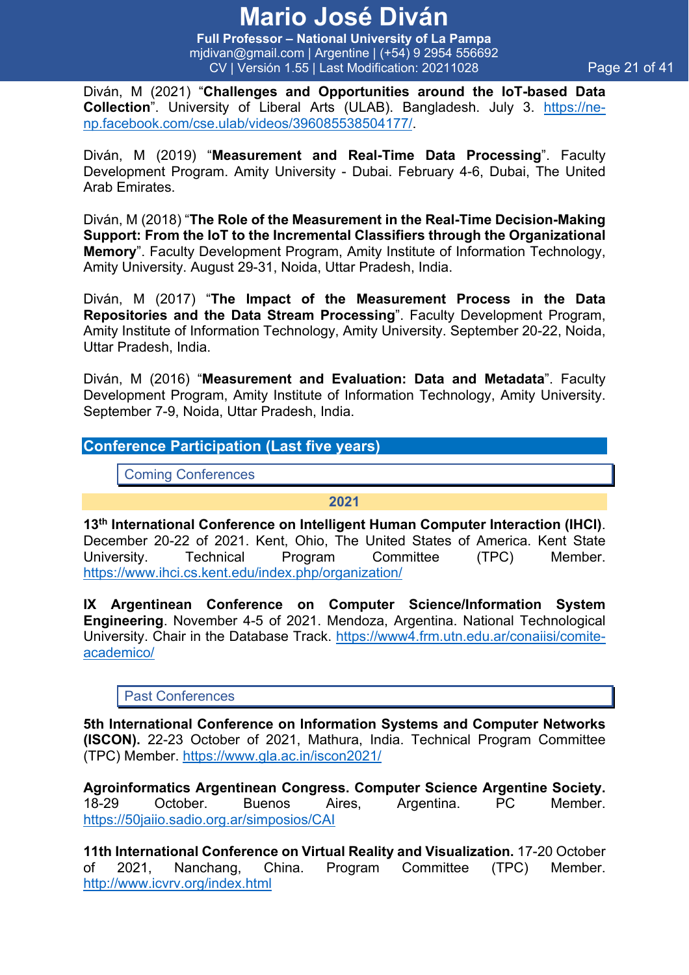**Full Professor – National University of La Pampa** mjdivan@gmail.com | Argentine | (+54) 9 2954 556692 CV | Versión 1.55 | Last Modification: 20211028 Page 21 of 41

Diván, M (2021) "**Challenges and Opportunities around the IoT-based Data Collection**". University of Liberal Arts (ULAB). Bangladesh. July 3. https://nenp.facebook.com/cse.ulab/videos/396085538504177/.

Diván, M (2019) "**Measurement and Real-Time Data Processing**". Faculty Development Program. Amity University - Dubai. February 4-6, Dubai, The United Arab Emirates.

Diván, M (2018) "**The Role of the Measurement in the Real-Time Decision-Making Support: From the IoT to the Incremental Classifiers through the Organizational Memory**". Faculty Development Program, Amity Institute of Information Technology, Amity University. August 29-31, Noida, Uttar Pradesh, India.

Diván, M (2017) "**The Impact of the Measurement Process in the Data Repositories and the Data Stream Processing**". Faculty Development Program, Amity Institute of Information Technology, Amity University. September 20-22, Noida, Uttar Pradesh, India.

Diván, M (2016) "**Measurement and Evaluation: Data and Metadata**". Faculty Development Program, Amity Institute of Information Technology, Amity University. September 7-9, Noida, Uttar Pradesh, India.

#### **Conference Participation (Last five years)**

Coming Conferences

#### **2021**

**13th International Conference on Intelligent Human Computer Interaction (IHCI)**. December 20-22 of 2021. Kent, Ohio, The United States of America. Kent State University. Technical Program Committee (TPC) Member. https://www.ihci.cs.kent.edu/index.php/organization/

**IX Argentinean Conference on Computer Science/Information System Engineering**. November 4-5 of 2021. Mendoza, Argentina. National Technological University. Chair in the Database Track. https://www4.frm.utn.edu.ar/conaiisi/comiteacademico/

#### Past Conferences

**5th International Conference on Information Systems and Computer Networks (ISCON).** 22-23 October of 2021, Mathura, India. Technical Program Committee (TPC) Member. https://www.gla.ac.in/iscon2021/

**Agroinformatics Argentinean Congress. Computer Science Argentine Society.**  18-29 October. Buenos Aires, Argentina. PC Member. https://50jaiio.sadio.org.ar/simposios/CAI

**11th International Conference on Virtual Reality and Visualization.** 17-20 October of 2021, Nanchang, China. Program Committee (TPC) Member. http://www.icvrv.org/index.html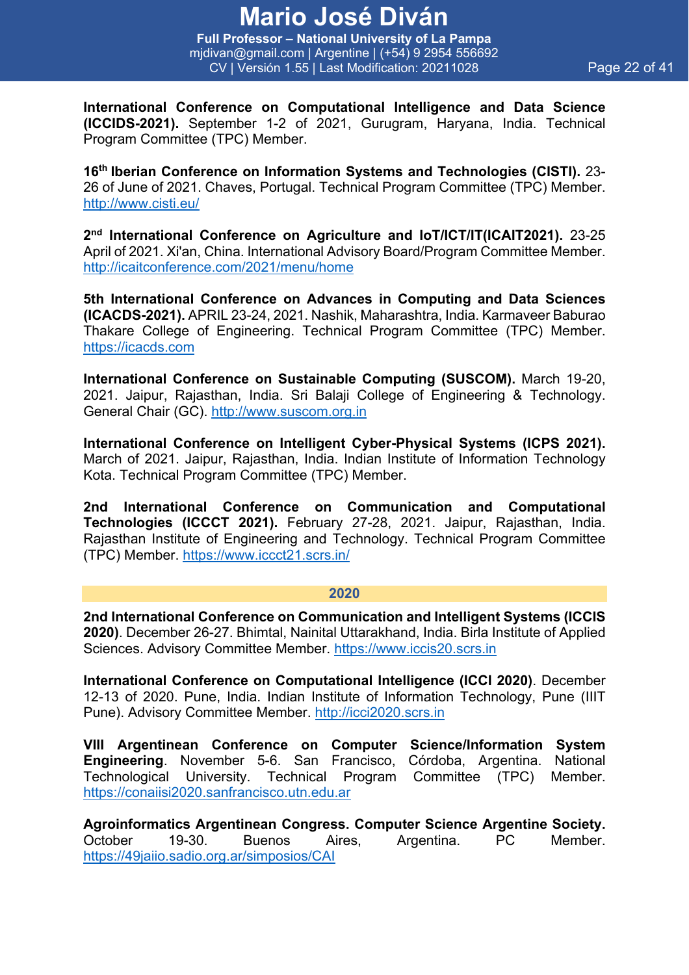**Full Professor – National University of La Pampa** mjdivan@gmail.com | Argentine | (+54) 9 2954 556692 CV | Versión 1.55 | Last Modification: 20211028 Page 22 of 41

**International Conference on Computational Intelligence and Data Science (ICCIDS-2021).** September 1-2 of 2021, Gurugram, Haryana, India. Technical Program Committee (TPC) Member.

**16th Iberian Conference on Information Systems and Technologies (CISTI).** 23- 26 of June of 2021. Chaves, Portugal. Technical Program Committee (TPC) Member. http://www.cisti.eu/

**2nd International Conference on Agriculture and IoT/ICT/IT(ICAIT2021).** 23-25 April of 2021. Xi'an, China. International Advisory Board/Program Committee Member. http://icaitconference.com/2021/menu/home

**5th International Conference on Advances in Computing and Data Sciences (ICACDS-2021).** APRIL 23-24, 2021. Nashik, Maharashtra, India. Karmaveer Baburao Thakare College of Engineering. Technical Program Committee (TPC) Member. https://icacds.com

**International Conference on Sustainable Computing (SUSCOM).** March 19-20, 2021. Jaipur, Rajasthan, India. Sri Balaji College of Engineering & Technology. General Chair (GC). http://www.suscom.org.in

**International Conference on Intelligent Cyber-Physical Systems (ICPS 2021).** March of 2021. Jaipur, Rajasthan, India. Indian Institute of Information Technology Kota. Technical Program Committee (TPC) Member.

**2nd International Conference on Communication and Computational Technologies (ICCCT 2021).** February 27-28, 2021. Jaipur, Rajasthan, India. Rajasthan Institute of Engineering and Technology. Technical Program Committee (TPC) Member. https://www.iccct21.scrs.in/

#### **2020**

**2nd International Conference on Communication and Intelligent Systems (ICCIS 2020)**. December 26-27. Bhimtal, Nainital Uttarakhand, India. Birla Institute of Applied Sciences. Advisory Committee Member. https://www.iccis20.scrs.in

**International Conference on Computational Intelligence (ICCI 2020)**. December 12-13 of 2020. Pune, India. Indian Institute of Information Technology, Pune (IIIT Pune). Advisory Committee Member. http://icci2020.scrs.in

**VIII Argentinean Conference on Computer Science/Information System Engineering**. November 5-6. San Francisco, Córdoba, Argentina. National Technological University. Technical Program Committee (TPC) Member. https://conaiisi2020.sanfrancisco.utn.edu.ar

**Agroinformatics Argentinean Congress. Computer Science Argentine Society.**  October 19-30. Buenos Aires, Argentina. PC Member. https://49jaiio.sadio.org.ar/simposios/CAI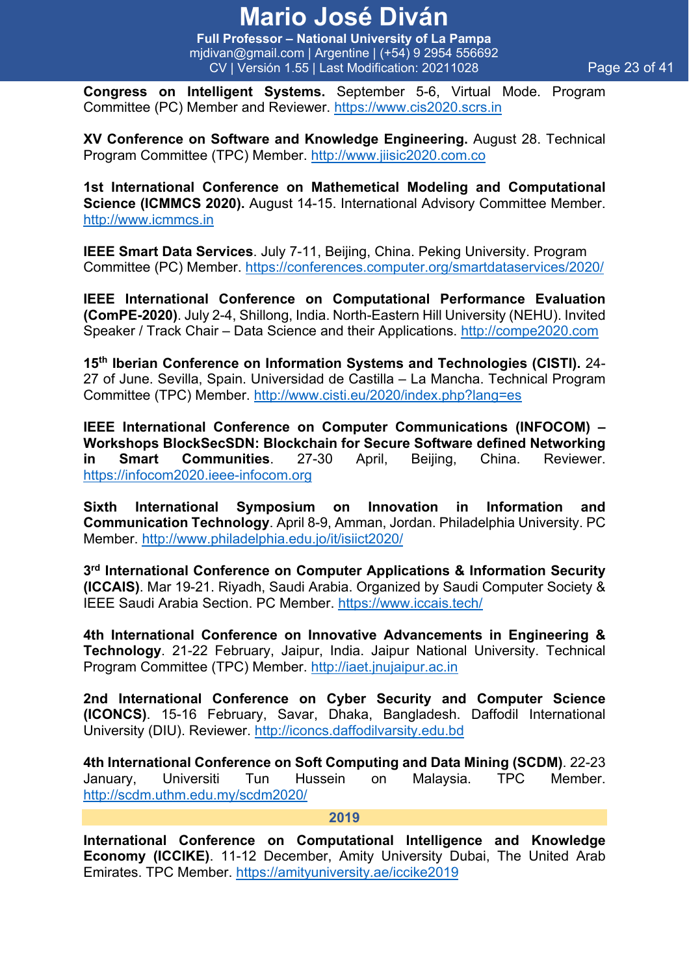**Full Professor – National University of La Pampa** mjdivan@gmail.com | Argentine | (+54) 9 2954 556692 CV | Versión 1.55 | Last Modification: 20211028 Page 23 of 41

**Congress on Intelligent Systems.** September 5-6, Virtual Mode. Program Committee (PC) Member and Reviewer. https://www.cis2020.scrs.in

**XV Conference on Software and Knowledge Engineering.** August 28. Technical Program Committee (TPC) Member. http://www.jiisic2020.com.co

**1st International Conference on Mathemetical Modeling and Computational Science (ICMMCS 2020).** August 14-15. International Advisory Committee Member. http://www.icmmcs.in

**IEEE Smart Data Services**. July 7-11, Beijing, China. Peking University. Program Committee (PC) Member. https://conferences.computer.org/smartdataservices/2020/

**IEEE International Conference on Computational Performance Evaluation (ComPE-2020)**. July 2-4, Shillong, India. North-Eastern Hill University (NEHU). Invited Speaker / Track Chair – Data Science and their Applications. http://compe2020.com

**15th Iberian Conference on Information Systems and Technologies (CISTI).** 24- 27 of June. Sevilla, Spain. Universidad de Castilla – La Mancha. Technical Program Committee (TPC) Member. http://www.cisti.eu/2020/index.php?lang=es

**IEEE International Conference on Computer Communications (INFOCOM) – Workshops BlockSecSDN: Blockchain for Secure Software defined Networking in Smart Communities**. 27-30 April, Beijing, China. Reviewer. https://infocom2020.ieee-infocom.org

**Sixth International Symposium on Innovation in Information and Communication Technology**. April 8-9, Amman, Jordan. Philadelphia University. PC Member. http://www.philadelphia.edu.jo/it/isiict2020/

**3rd International Conference on Computer Applications & Information Security (ICCAIS)**. Mar 19-21. Riyadh, Saudi Arabia. Organized by Saudi Computer Society & IEEE Saudi Arabia Section. PC Member. https://www.iccais.tech/

**4th International Conference on Innovative Advancements in Engineering & Technology**. 21-22 February, Jaipur, India. Jaipur National University. Technical Program Committee (TPC) Member. http://iaet.jnujaipur.ac.in

**2nd International Conference on Cyber Security and Computer Science (ICONCS)**. 15-16 February, Savar, Dhaka, Bangladesh. Daffodil International University (DIU). Reviewer. http://iconcs.daffodilvarsity.edu.bd

**4th International Conference on Soft Computing and Data Mining (SCDM)**. 22-23 January, Universiti Tun Hussein on Malaysia. TPC Member. http://scdm.uthm.edu.my/scdm2020/

#### **2019**

**International Conference on Computational Intelligence and Knowledge Economy (ICCIKE)**. 11-12 December, Amity University Dubai, The United Arab Emirates. TPC Member. https://amityuniversity.ae/iccike2019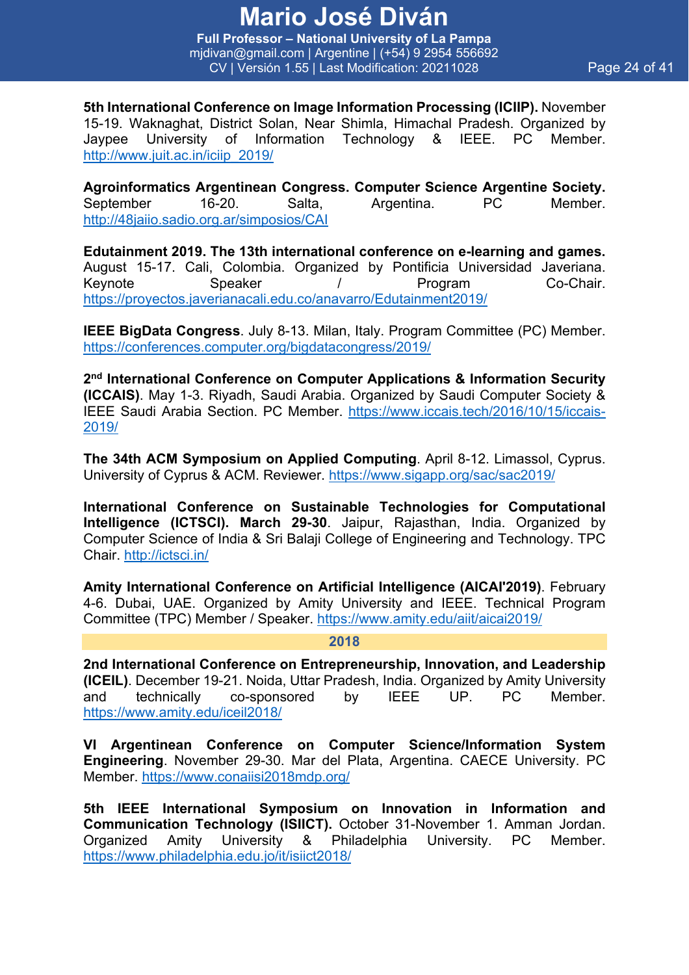**Full Professor – National University of La Pampa** mjdivan@gmail.com | Argentine | (+54) 9 2954 556692 CV | Versión 1.55 | Last Modification: 20211028 Page 24 of 41

**5th International Conference on Image Information Processing (ICIIP).** November 15-19. Waknaghat, District Solan, Near Shimla, Himachal Pradesh. Organized by Jaypee University of Information Technology & IEEE. PC Member. http://www.juit.ac.in/iciip\_2019/

**Agroinformatics Argentinean Congress. Computer Science Argentine Society.**  September 16-20. Salta, Argentina. PC Member. http://48jaiio.sadio.org.ar/simposios/CAI

**Edutainment 2019. The 13th international conference on e-learning and games.** August 15-17. Cali, Colombia. Organized by Pontificia Universidad Javeriana. Keynote Speaker / Program Co-Chair. https://proyectos.javerianacali.edu.co/anavarro/Edutainment2019/

**IEEE BigData Congress**. July 8-13. Milan, Italy. Program Committee (PC) Member. https://conferences.computer.org/bigdatacongress/2019/

**2nd International Conference on Computer Applications & Information Security (ICCAIS)**. May 1-3. Riyadh, Saudi Arabia. Organized by Saudi Computer Society & IEEE Saudi Arabia Section. PC Member. https://www.iccais.tech/2016/10/15/iccais-2019/

**The 34th ACM Symposium on Applied Computing**. April 8-12. Limassol, Cyprus. University of Cyprus & ACM. Reviewer. https://www.sigapp.org/sac/sac2019/

**International Conference on Sustainable Technologies for Computational Intelligence (ICTSCI). March 29-30**. Jaipur, Rajasthan, India. Organized by Computer Science of India & Sri Balaji College of Engineering and Technology. TPC Chair. http://ictsci.in/

**Amity International Conference on Artificial Intelligence (AICAI'2019)**. February 4-6. Dubai, UAE. Organized by Amity University and IEEE. Technical Program Committee (TPC) Member / Speaker. https://www.amity.edu/aiit/aicai2019/

#### **2018**

**2nd International Conference on Entrepreneurship, Innovation, and Leadership (ICEIL)**. December 19-21. Noida, Uttar Pradesh, India. Organized by Amity University and technically co-sponsored by IEEE UP. PC Member. https://www.amity.edu/iceil2018/

**VI Argentinean Conference on Computer Science/Information System Engineering**. November 29-30. Mar del Plata, Argentina. CAECE University. PC Member. https://www.conaiisi2018mdp.org/

**5th IEEE International Symposium on Innovation in Information and Communication Technology (ISIICT).** October 31-November 1. Amman Jordan. Organized Amity University & Philadelphia University. PC Member. https://www.philadelphia.edu.jo/it/isiict2018/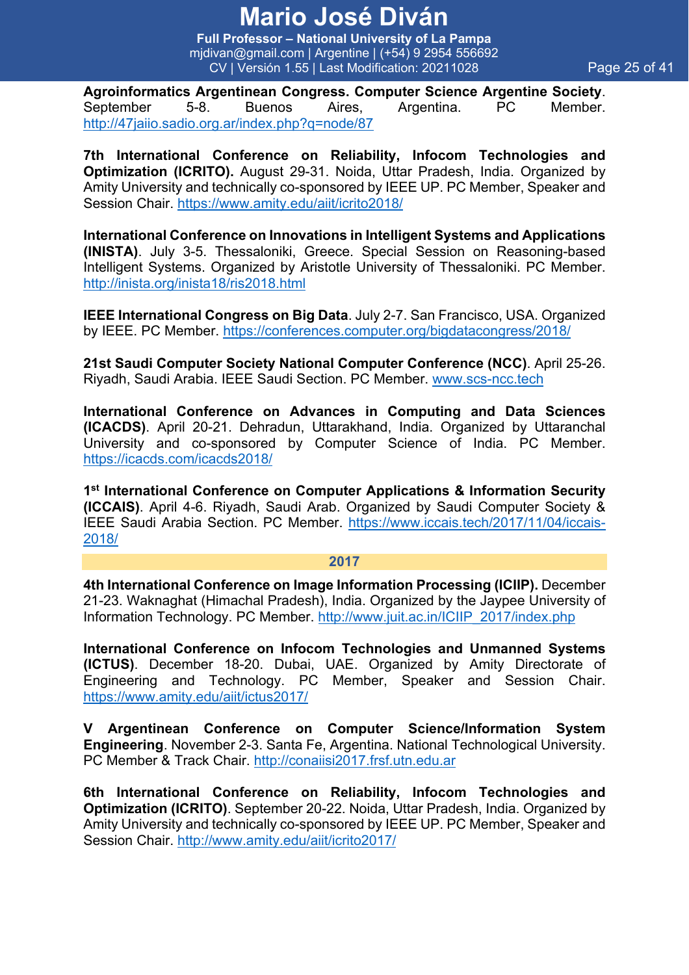**Full Professor – National University of La Pampa** mjdivan@gmail.com | Argentine | (+54) 9 2954 556692 CV | Versión 1.55 | Last Modification: 20211028 Page 25 of 41

**Agroinformatics Argentinean Congress. Computer Science Argentine Society**. September 5-8. Buenos Aires, Argentina. PC Member. http://47jaiio.sadio.org.ar/index.php?q=node/87

**7th International Conference on Reliability, Infocom Technologies and Optimization (ICRITO).** August 29-31. Noida, Uttar Pradesh, India. Organized by Amity University and technically co-sponsored by IEEE UP. PC Member, Speaker and Session Chair. https://www.amity.edu/aiit/icrito2018/

**International Conference on Innovations in Intelligent Systems and Applications (INISTA)**. July 3-5. Thessaloniki, Greece. Special Session on Reasoning-based Intelligent Systems. Organized by Aristotle University of Thessaloniki. PC Member. http://inista.org/inista18/ris2018.html

**IEEE International Congress on Big Data**. July 2-7. San Francisco, USA. Organized by IEEE. PC Member. https://conferences.computer.org/bigdatacongress/2018/

**21st Saudi Computer Society National Computer Conference (NCC)**. April 25-26. Riyadh, Saudi Arabia. IEEE Saudi Section. PC Member. www.scs-ncc.tech

**International Conference on Advances in Computing and Data Sciences (ICACDS)**. April 20-21. Dehradun, Uttarakhand, India. Organized by Uttaranchal University and co-sponsored by Computer Science of India. PC Member. https://icacds.com/icacds2018/

**1st International Conference on Computer Applications & Information Security (ICCAIS)**. April 4-6. Riyadh, Saudi Arab. Organized by Saudi Computer Society & IEEE Saudi Arabia Section. PC Member. https://www.iccais.tech/2017/11/04/iccais-2018/

#### **2017**

**4th International Conference on Image Information Processing (ICIIP).** December 21-23. Waknaghat (Himachal Pradesh), India. Organized by the Jaypee University of Information Technology. PC Member. http://www.juit.ac.in/ICIIP\_2017/index.php

**International Conference on Infocom Technologies and Unmanned Systems (ICTUS)**. December 18-20. Dubai, UAE. Organized by Amity Directorate of Engineering and Technology. PC Member, Speaker and Session Chair. https://www.amity.edu/aiit/ictus2017/

**V Argentinean Conference on Computer Science/Information System Engineering**. November 2-3. Santa Fe, Argentina. National Technological University. PC Member & Track Chair. http://conaiisi2017.frsf.utn.edu.ar

**6th International Conference on Reliability, Infocom Technologies and Optimization (ICRITO)**. September 20-22. Noida, Uttar Pradesh, India. Organized by Amity University and technically co-sponsored by IEEE UP. PC Member, Speaker and Session Chair. http://www.amity.edu/aiit/icrito2017/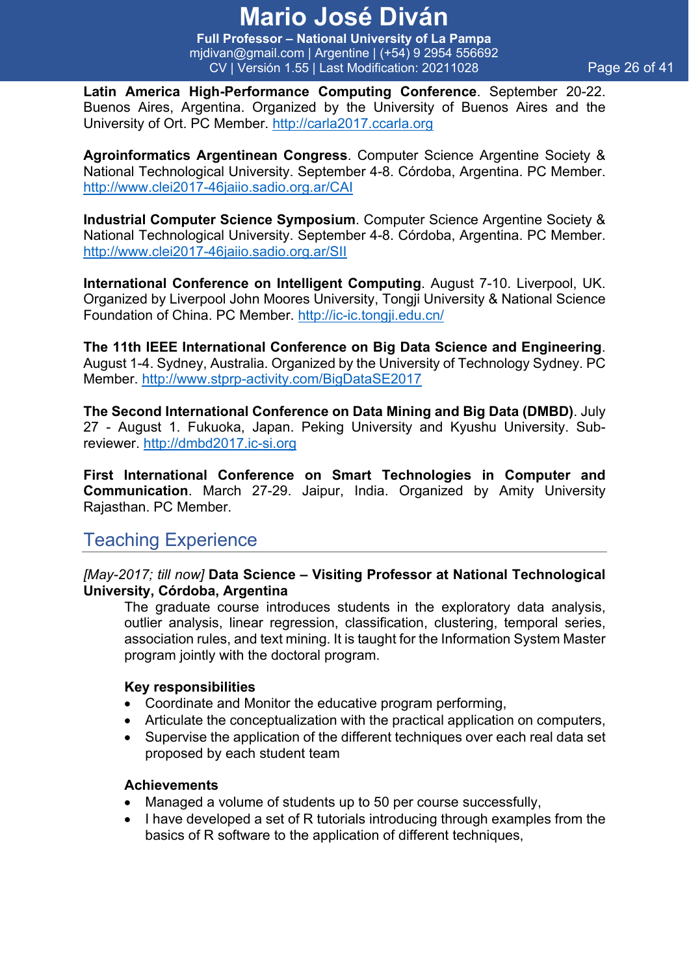**Full Professor – National University of La Pampa** mjdivan@gmail.com | Argentine | (+54) 9 2954 556692 CV | Versión 1.55 | Last Modification: 20211028 Page 26 of 41

**Latin America High-Performance Computing Conference**. September 20-22. Buenos Aires, Argentina. Organized by the University of Buenos Aires and the University of Ort. PC Member. http://carla2017.ccarla.org

**Agroinformatics Argentinean Congress**. Computer Science Argentine Society & National Technological University. September 4-8. Córdoba, Argentina. PC Member. http://www.clei2017-46jaiio.sadio.org.ar/CAI

**Industrial Computer Science Symposium**. Computer Science Argentine Society & National Technological University. September 4-8. Córdoba, Argentina. PC Member. http://www.clei2017-46jaiio.sadio.org.ar/SII

**International Conference on Intelligent Computing**. August 7-10. Liverpool, UK. Organized by Liverpool John Moores University, Tongji University & National Science Foundation of China. PC Member. http://ic-ic.tongji.edu.cn/

**The 11th IEEE International Conference on Big Data Science and Engineering**. August 1-4. Sydney, Australia. Organized by the University of Technology Sydney. PC Member. http://www.stprp-activity.com/BigDataSE2017

**The Second International Conference on Data Mining and Big Data (DMBD)**. July 27 - August 1. Fukuoka, Japan. Peking University and Kyushu University. Subreviewer. http://dmbd2017.ic-si.org

**First International Conference on Smart Technologies in Computer and Communication**. March 27-29. Jaipur, India. Organized by Amity University Rajasthan. PC Member.

### Teaching Experience

#### *[May-2017; till now]* **Data Science – Visiting Professor at National Technological University, Córdoba, Argentina**

The graduate course introduces students in the exploratory data analysis, outlier analysis, linear regression, classification, clustering, temporal series, association rules, and text mining. It is taught for the Information System Master program jointly with the doctoral program.

#### **Key responsibilities**

- Coordinate and Monitor the educative program performing,
- Articulate the conceptualization with the practical application on computers,
- Supervise the application of the different techniques over each real data set proposed by each student team

- Managed a volume of students up to 50 per course successfully,
- I have developed a set of R tutorials introducing through examples from the basics of R software to the application of different techniques,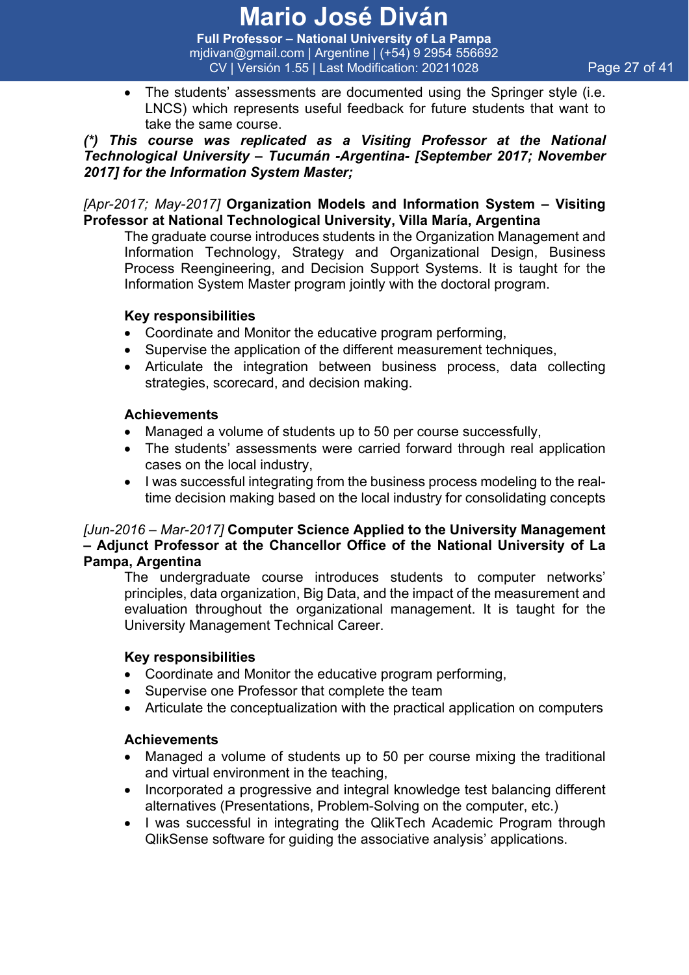**Full Professor – National University of La Pampa** mjdivan@gmail.com | Argentine | (+54) 9 2954 556692 CV | Versión 1.55 | Last Modification: 20211028 Page 27 of 41

• The students' assessments are documented using the Springer style (i.e. LNCS) which represents useful feedback for future students that want to take the same course.

#### *(\*) This course was replicated as a Visiting Professor at the National Technological University – Tucumán -Argentina- [September 2017; November 2017] for the Information System Master;*

#### *[Apr-2017; May-2017]* **Organization Models and Information System – Visiting Professor at National Technological University, Villa María, Argentina**

The graduate course introduces students in the Organization Management and Information Technology, Strategy and Organizational Design, Business Process Reengineering, and Decision Support Systems. It is taught for the Information System Master program jointly with the doctoral program.

#### **Key responsibilities**

- Coordinate and Monitor the educative program performing,
- Supervise the application of the different measurement techniques,
- Articulate the integration between business process, data collecting strategies, scorecard, and decision making.

#### **Achievements**

- Managed a volume of students up to 50 per course successfully,
- The students' assessments were carried forward through real application cases on the local industry,
- I was successful integrating from the business process modeling to the realtime decision making based on the local industry for consolidating concepts

#### *[Jun-2016 – Mar-2017]* **Computer Science Applied to the University Management – Adjunct Professor at the Chancellor Office of the National University of La Pampa, Argentina**

The undergraduate course introduces students to computer networks' principles, data organization, Big Data, and the impact of the measurement and evaluation throughout the organizational management. It is taught for the University Management Technical Career.

#### **Key responsibilities**

- Coordinate and Monitor the educative program performing,
- Supervise one Professor that complete the team
- Articulate the conceptualization with the practical application on computers

- Managed a volume of students up to 50 per course mixing the traditional and virtual environment in the teaching,
- Incorporated a progressive and integral knowledge test balancing different alternatives (Presentations, Problem-Solving on the computer, etc.)
- I was successful in integrating the QlikTech Academic Program through QlikSense software for guiding the associative analysis' applications.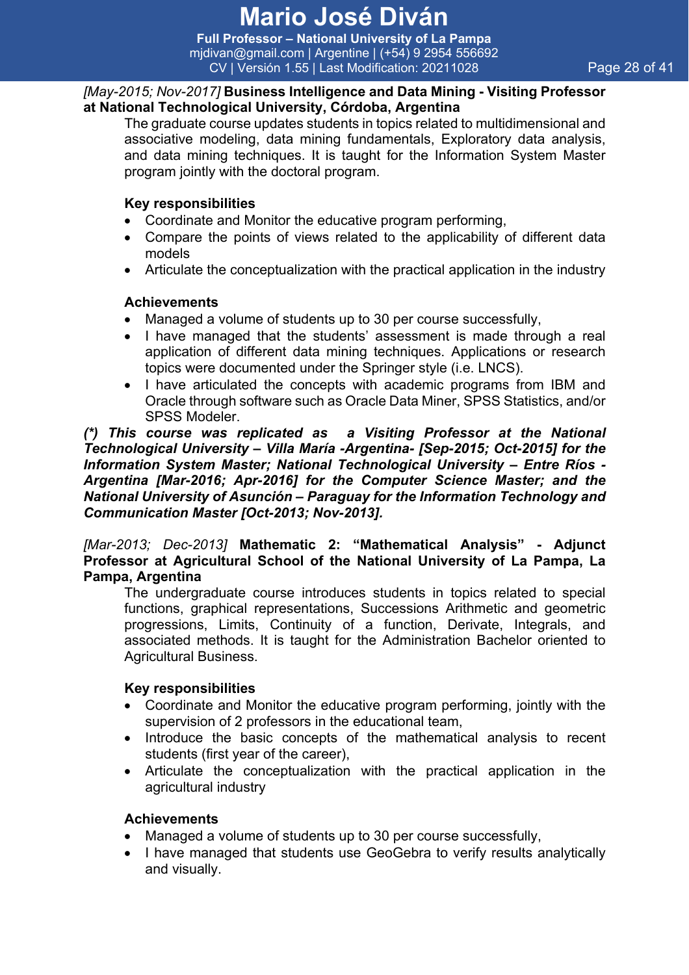**Full Professor – National University of La Pampa** mjdivan@gmail.com | Argentine | (+54) 9 2954 556692 CV | Versión 1.55 | Last Modification: 20211028 Page 28 of 41

#### *[May-2015; Nov-2017]* **Business Intelligence and Data Mining - Visiting Professor at National Technological University, Córdoba, Argentina**

The graduate course updates students in topics related to multidimensional and associative modeling, data mining fundamentals, Exploratory data analysis, and data mining techniques. It is taught for the Information System Master program jointly with the doctoral program.

#### **Key responsibilities**

- Coordinate and Monitor the educative program performing,
- Compare the points of views related to the applicability of different data models
- Articulate the conceptualization with the practical application in the industry

#### **Achievements**

- Managed a volume of students up to 30 per course successfully,
- I have managed that the students' assessment is made through a real application of different data mining techniques. Applications or research topics were documented under the Springer style (i.e. LNCS).
- I have articulated the concepts with academic programs from IBM and Oracle through software such as Oracle Data Miner, SPSS Statistics, and/or SPSS Modeler.

*(\*) This course was replicated as a Visiting Professor at the National Technological University – Villa María -Argentina- [Sep-2015; Oct-2015] for the Information System Master; National Technological University – Entre Ríos - Argentina [Mar-2016; Apr-2016] for the Computer Science Master; and the National University of Asunción – Paraguay for the Information Technology and Communication Master [Oct-2013; Nov-2013].*

*[Mar-2013; Dec-2013]* **Mathematic 2: "Mathematical Analysis" - Adjunct Professor at Agricultural School of the National University of La Pampa, La Pampa, Argentina**

The undergraduate course introduces students in topics related to special functions, graphical representations, Successions Arithmetic and geometric progressions, Limits, Continuity of a function, Derivate, Integrals, and associated methods. It is taught for the Administration Bachelor oriented to Agricultural Business.

#### **Key responsibilities**

- Coordinate and Monitor the educative program performing, jointly with the supervision of 2 professors in the educational team,
- Introduce the basic concepts of the mathematical analysis to recent students (first year of the career),
- Articulate the conceptualization with the practical application in the agricultural industry

- Managed a volume of students up to 30 per course successfully,
- I have managed that students use GeoGebra to verify results analytically and visually.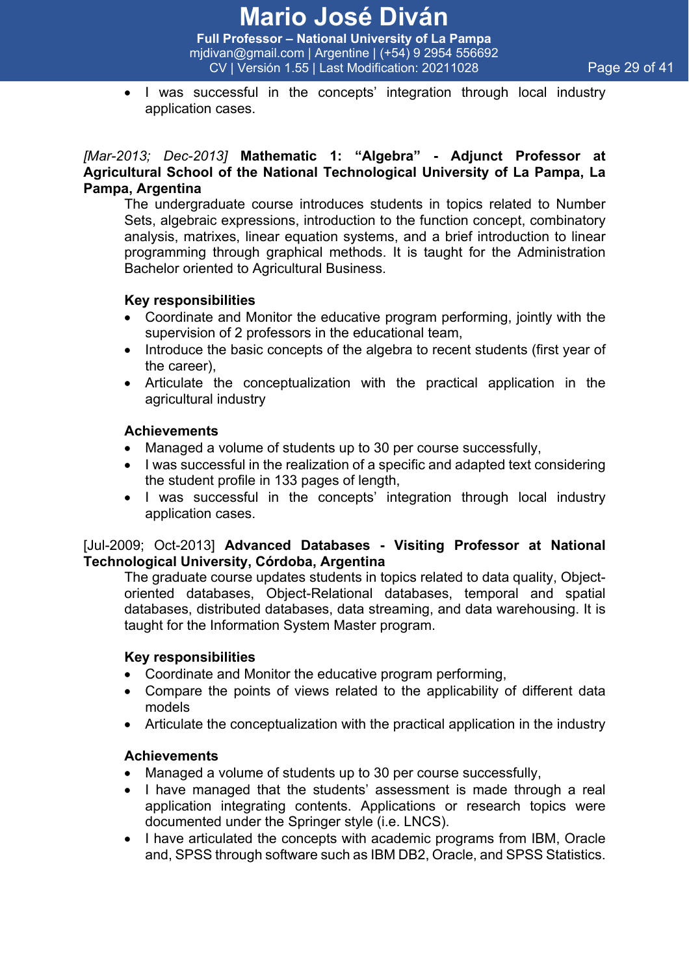**Full Professor – National University of La Pampa** mjdivan@gmail.com | Argentine | (+54) 9 2954 556692 CV | Versión 1.55 | Last Modification: 20211028 Page 29 of 41

• I was successful in the concepts' integration through local industry application cases.

#### *[Mar-2013; Dec-2013]* **Mathematic 1: "Algebra" - Adjunct Professor at Agricultural School of the National Technological University of La Pampa, La Pampa, Argentina**

The undergraduate course introduces students in topics related to Number Sets, algebraic expressions, introduction to the function concept, combinatory analysis, matrixes, linear equation systems, and a brief introduction to linear programming through graphical methods. It is taught for the Administration Bachelor oriented to Agricultural Business.

#### **Key responsibilities**

- Coordinate and Monitor the educative program performing, jointly with the supervision of 2 professors in the educational team,
- Introduce the basic concepts of the algebra to recent students (first year of the career),
- Articulate the conceptualization with the practical application in the agricultural industry

#### **Achievements**

- Managed a volume of students up to 30 per course successfully,
- I was successful in the realization of a specific and adapted text considering the student profile in 133 pages of length,
- I was successful in the concepts' integration through local industry application cases.

#### [Jul-2009; Oct-2013] **Advanced Databases - Visiting Professor at National Technological University, Córdoba, Argentina**

The graduate course updates students in topics related to data quality, Objectoriented databases, Object-Relational databases, temporal and spatial databases, distributed databases, data streaming, and data warehousing. It is taught for the Information System Master program.

#### **Key responsibilities**

- Coordinate and Monitor the educative program performing,
- Compare the points of views related to the applicability of different data models
- Articulate the conceptualization with the practical application in the industry

- Managed a volume of students up to 30 per course successfully,
- I have managed that the students' assessment is made through a real application integrating contents. Applications or research topics were documented under the Springer style (i.e. LNCS).
- I have articulated the concepts with academic programs from IBM, Oracle and, SPSS through software such as IBM DB2, Oracle, and SPSS Statistics.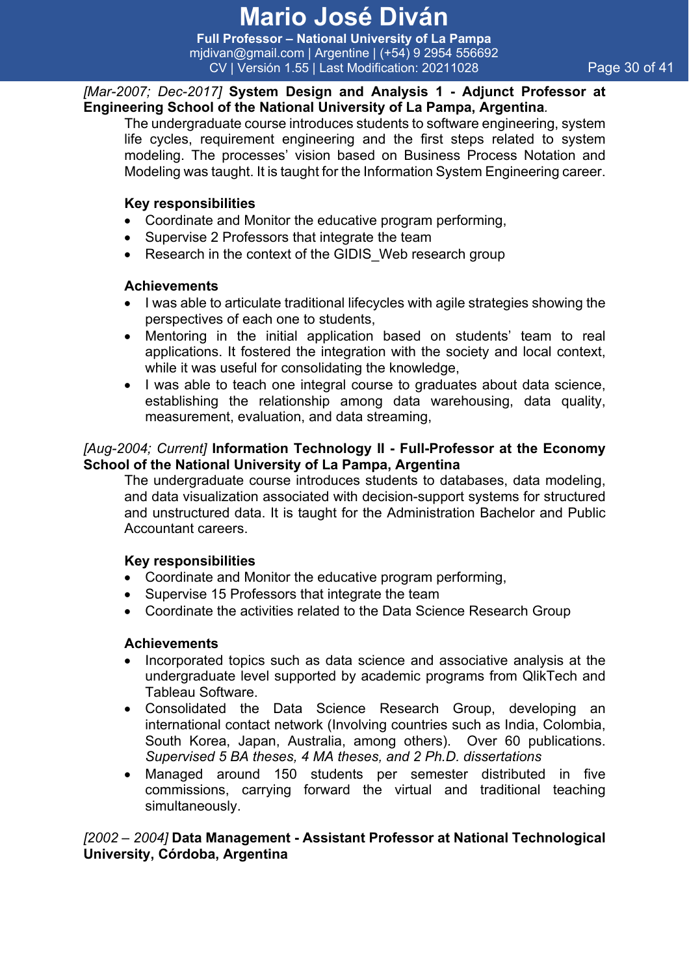**Full Professor – National University of La Pampa** mjdivan@gmail.com | Argentine | (+54) 9 2954 556692 CV | Versión 1.55 | Last Modification: 20211028 Page 30 of 41

#### *[Mar-2007; Dec-2017]* **System Design and Analysis 1 - Adjunct Professor at Engineering School of the National University of La Pampa, Argentina***.*

The undergraduate course introduces students to software engineering, system life cycles, requirement engineering and the first steps related to system modeling. The processes' vision based on Business Process Notation and Modeling was taught. It is taught for the Information System Engineering career.

#### **Key responsibilities**

- Coordinate and Monitor the educative program performing,
- Supervise 2 Professors that integrate the team
- Research in the context of the GIDIS Web research group

#### **Achievements**

- I was able to articulate traditional lifecycles with agile strategies showing the perspectives of each one to students,
- Mentoring in the initial application based on students' team to real applications. It fostered the integration with the society and local context, while it was useful for consolidating the knowledge,
- I was able to teach one integral course to graduates about data science, establishing the relationship among data warehousing, data quality, measurement, evaluation, and data streaming,

#### *[Aug-2004; Current]* **Information Technology II - Full-Professor at the Economy School of the National University of La Pampa, Argentina**

The undergraduate course introduces students to databases, data modeling, and data visualization associated with decision-support systems for structured and unstructured data. It is taught for the Administration Bachelor and Public Accountant careers.

#### **Key responsibilities**

- Coordinate and Monitor the educative program performing,
- Supervise 15 Professors that integrate the team
- Coordinate the activities related to the Data Science Research Group

#### **Achievements**

- Incorporated topics such as data science and associative analysis at the undergraduate level supported by academic programs from QlikTech and Tableau Software.
- Consolidated the Data Science Research Group, developing an international contact network (Involving countries such as India, Colombia, South Korea, Japan, Australia, among others). Over 60 publications. *Supervised 5 BA theses, 4 MA theses, and 2 Ph.D. dissertations*
- Managed around 150 students per semester distributed in five commissions, carrying forward the virtual and traditional teaching simultaneously.

#### *[2002 – 2004]* **Data Management - Assistant Professor at National Technological University, Córdoba, Argentina**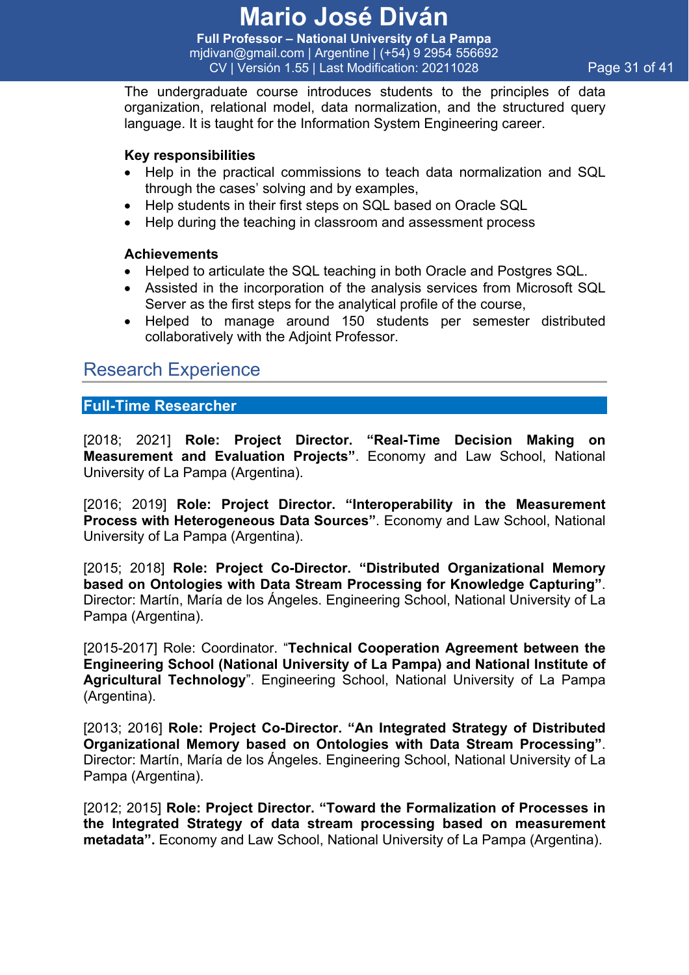**Full Professor – National University of La Pampa** mjdivan@gmail.com | Argentine | (+54) 9 2954 556692 CV | Versión 1.55 | Last Modification: 20211028 Page 31 of 41

The undergraduate course introduces students to the principles of data organization, relational model, data normalization, and the structured query language. It is taught for the Information System Engineering career.

#### **Key responsibilities**

- Help in the practical commissions to teach data normalization and SQL through the cases' solving and by examples,
- Help students in their first steps on SQL based on Oracle SQL
- Help during the teaching in classroom and assessment process

#### **Achievements**

- Helped to articulate the SQL teaching in both Oracle and Postgres SQL.
- Assisted in the incorporation of the analysis services from Microsoft SQL Server as the first steps for the analytical profile of the course,
- Helped to manage around 150 students per semester distributed collaboratively with the Adjoint Professor.

### Research Experience

**Full-Time Researcher**

[2018; 2021] **Role: Project Director. "Real-Time Decision Making on Measurement and Evaluation Projects"**. Economy and Law School, National University of La Pampa (Argentina).

[2016; 2019] **Role: Project Director. "Interoperability in the Measurement Process with Heterogeneous Data Sources"**. Economy and Law School, National University of La Pampa (Argentina).

[2015; 2018] **Role: Project Co-Director. "Distributed Organizational Memory based on Ontologies with Data Stream Processing for Knowledge Capturing"**. Director: Martín, María de los Ángeles. Engineering School, National University of La Pampa (Argentina).

[2015-2017] Role: Coordinator. "**Technical Cooperation Agreement between the Engineering School (National University of La Pampa) and National Institute of Agricultural Technology**". Engineering School, National University of La Pampa (Argentina).

[2013; 2016] **Role: Project Co-Director. "An Integrated Strategy of Distributed Organizational Memory based on Ontologies with Data Stream Processing"**. Director: Martín, María de los Ángeles. Engineering School, National University of La Pampa (Argentina).

[2012; 2015] **Role: Project Director. "Toward the Formalization of Processes in the Integrated Strategy of data stream processing based on measurement metadata".** Economy and Law School, National University of La Pampa (Argentina).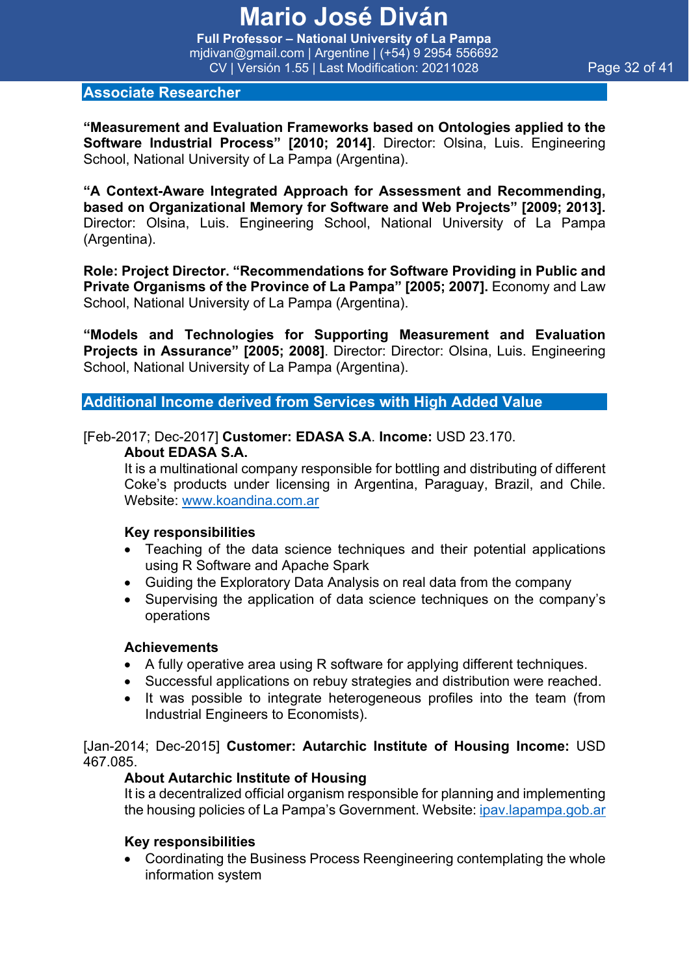**Full Professor – National University of La Pampa** mjdivan@gmail.com | Argentine | (+54) 9 2954 556692 CV | Versión 1.55 | Last Modification: 20211028 Page 32 of 41

**"Measurement and Evaluation Frameworks based on Ontologies applied to the Software Industrial Process" [2010; 2014]**. Director: Olsina, Luis. Engineering School, National University of La Pampa (Argentina).

**"A Context-Aware Integrated Approach for Assessment and Recommending, based on Organizational Memory for Software and Web Projects" [2009; 2013].** Director: Olsina, Luis. Engineering School, National University of La Pampa (Argentina).

**Role: Project Director. "Recommendations for Software Providing in Public and Private Organisms of the Province of La Pampa" [2005; 2007].** Economy and Law School, National University of La Pampa (Argentina).

**"Models and Technologies for Supporting Measurement and Evaluation Projects in Assurance" [2005; 2008]**. Director: Director: Olsina, Luis. Engineering School, National University of La Pampa (Argentina).

**Additional Income derived from Services with High Added Value**

#### [Feb-2017; Dec-2017] **Customer: EDASA S.A**. **Income:** USD 23.170.

#### **About EDASA S.A.**

It is a multinational company responsible for bottling and distributing of different Coke's products under licensing in Argentina, Paraguay, Brazil, and Chile. Website: www.koandina.com.ar

#### **Key responsibilities**

- Teaching of the data science techniques and their potential applications using R Software and Apache Spark
- Guiding the Exploratory Data Analysis on real data from the company
- Supervising the application of data science techniques on the company's operations

#### **Achievements**

- A fully operative area using R software for applying different techniques.
- Successful applications on rebuy strategies and distribution were reached.
- It was possible to integrate heterogeneous profiles into the team (from Industrial Engineers to Economists).

#### [Jan-2014; Dec-2015] **Customer: Autarchic Institute of Housing Income:** USD 467.085.

#### **About Autarchic Institute of Housing**

It is a decentralized official organism responsible for planning and implementing the housing policies of La Pampa's Government. Website: ipav.lapampa.gob.ar

#### **Key responsibilities**

• Coordinating the Business Process Reengineering contemplating the whole information system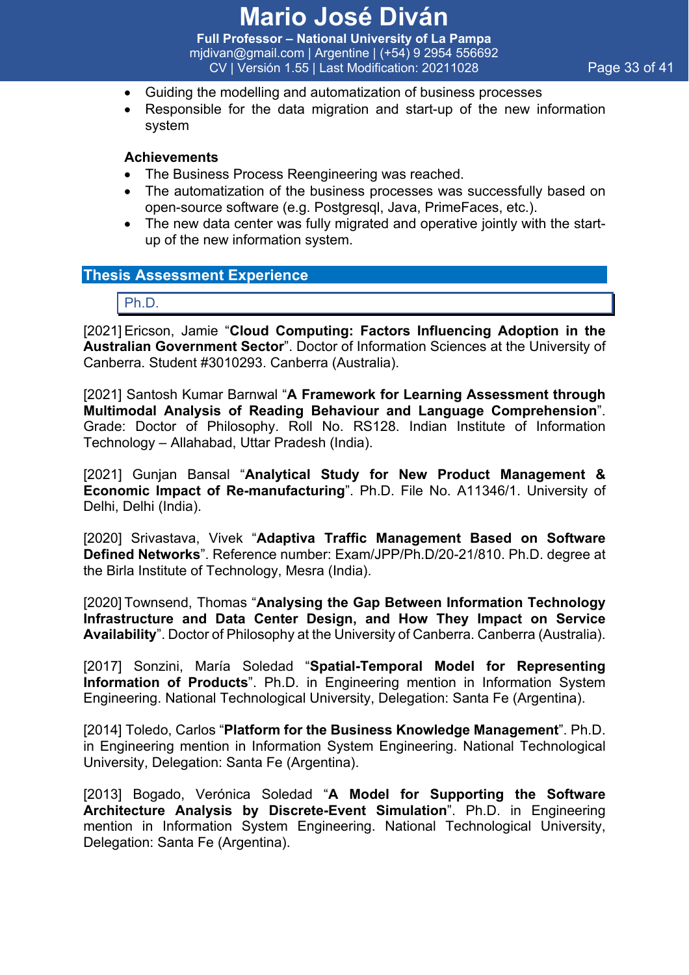**Full Professor – National University of La Pampa** mjdivan@gmail.com | Argentine | (+54) 9 2954 556692 CV | Versión 1.55 | Last Modification: 20211028 Page 33 of 41

- Guiding the modelling and automatization of business processes
- Responsible for the data migration and start-up of the new information system

#### **Achievements**

- The Business Process Reengineering was reached.
- The automatization of the business processes was successfully based on open-source software (e.g. Postgresql, Java, PrimeFaces, etc.).
- The new data center was fully migrated and operative jointly with the startup of the new information system.

#### **Thesis Assessment Experience**

Ph.D.

[2021] Ericson, Jamie "**Cloud Computing: Factors Influencing Adoption in the Australian Government Sector**". Doctor of Information Sciences at the University of Canberra. Student #3010293. Canberra (Australia).

[2021] Santosh Kumar Barnwal "**A Framework for Learning Assessment through Multimodal Analysis of Reading Behaviour and Language Comprehension**". Grade: Doctor of Philosophy. Roll No. RS128. Indian Institute of Information Technology – Allahabad, Uttar Pradesh (India).

[2021] Gunjan Bansal "**Analytical Study for New Product Management & Economic Impact of Re-manufacturing**". Ph.D. File No. A11346/1. University of Delhi, Delhi (India).

[2020] Srivastava, Vivek "**Adaptiva Traffic Management Based on Software Defined Networks**". Reference number: Exam/JPP/Ph.D/20-21/810. Ph.D. degree at the Birla Institute of Technology, Mesra (India).

[2020] Townsend, Thomas "**Analysing the Gap Between Information Technology Infrastructure and Data Center Design, and How They Impact on Service Availability**". Doctor of Philosophy at the University of Canberra. Canberra (Australia).

[2017] Sonzini, María Soledad "**Spatial-Temporal Model for Representing Information of Products**". Ph.D. in Engineering mention in Information System Engineering. National Technological University, Delegation: Santa Fe (Argentina).

[2014] Toledo, Carlos "**Platform for the Business Knowledge Management**". Ph.D. in Engineering mention in Information System Engineering. National Technological University, Delegation: Santa Fe (Argentina).

[2013] Bogado, Verónica Soledad "**A Model for Supporting the Software Architecture Analysis by Discrete-Event Simulation**". Ph.D. in Engineering mention in Information System Engineering. National Technological University, Delegation: Santa Fe (Argentina).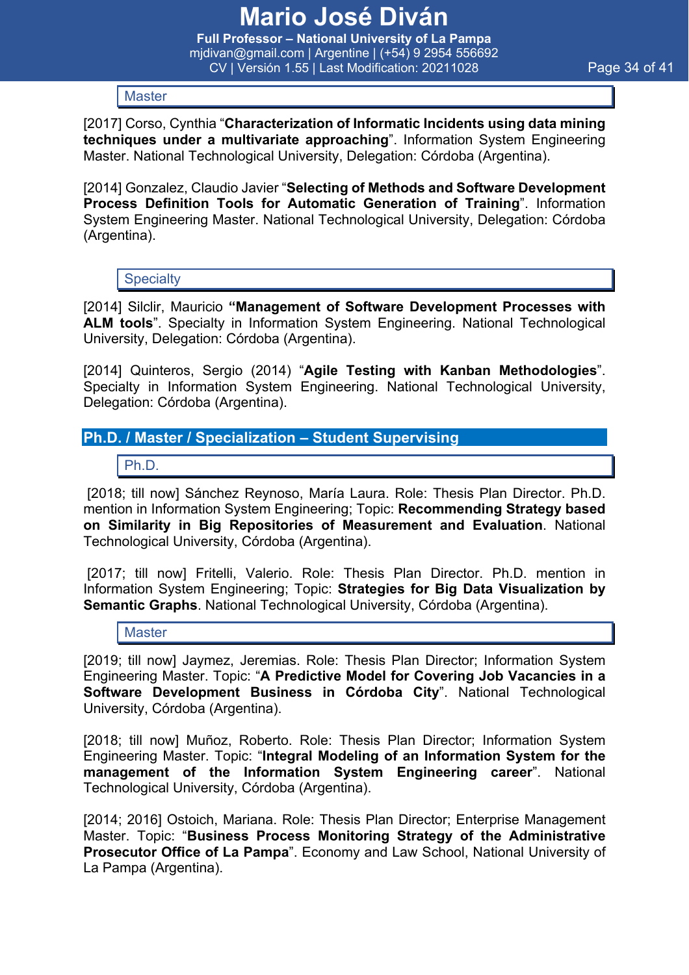**Full Professor – National University of La Pampa** mjdivan@gmail.com | Argentine | (+54) 9 2954 556692 CV | Versión 1.55 | Last Modification: 20211028 Page 34 of 41

**Master** 

[2017] Corso, Cynthia "**Characterization of Informatic Incidents using data mining techniques under a multivariate approaching**". Information System Engineering Master. National Technological University, Delegation: Córdoba (Argentina).

[2014] Gonzalez, Claudio Javier "**Selecting of Methods and Software Development Process Definition Tools for Automatic Generation of Training**". Information System Engineering Master. National Technological University, Delegation: Córdoba (Argentina).

**Specialty** 

[2014] Silclir, Mauricio **"Management of Software Development Processes with ALM tools**". Specialty in Information System Engineering. National Technological University, Delegation: Córdoba (Argentina).

[2014] Quinteros, Sergio (2014) "**Agile Testing with Kanban Methodologies**". Specialty in Information System Engineering. National Technological University, Delegation: Córdoba (Argentina).

#### **Ph.D. / Master / Specialization – Student Supervising**

Ph.D.

[2018; till now] Sánchez Reynoso, María Laura. Role: Thesis Plan Director. Ph.D. mention in Information System Engineering; Topic: **Recommending Strategy based on Similarity in Big Repositories of Measurement and Evaluation**. National Technological University, Córdoba (Argentina).

[2017; till now] Fritelli, Valerio. Role: Thesis Plan Director. Ph.D. mention in Information System Engineering; Topic: **Strategies for Big Data Visualization by Semantic Graphs**. National Technological University, Córdoba (Argentina).

**Master** 

[2019; till now] Jaymez, Jeremias. Role: Thesis Plan Director; Information System Engineering Master. Topic: "**A Predictive Model for Covering Job Vacancies in a Software Development Business in Córdoba City**". National Technological University, Córdoba (Argentina).

[2018; till now] Muñoz, Roberto. Role: Thesis Plan Director; Information System Engineering Master. Topic: "**Integral Modeling of an Information System for the management of the Information System Engineering career**". National Technological University, Córdoba (Argentina).

[2014; 2016] Ostoich, Mariana. Role: Thesis Plan Director; Enterprise Management Master. Topic: "**Business Process Monitoring Strategy of the Administrative Prosecutor Office of La Pampa**". Economy and Law School, National University of La Pampa (Argentina).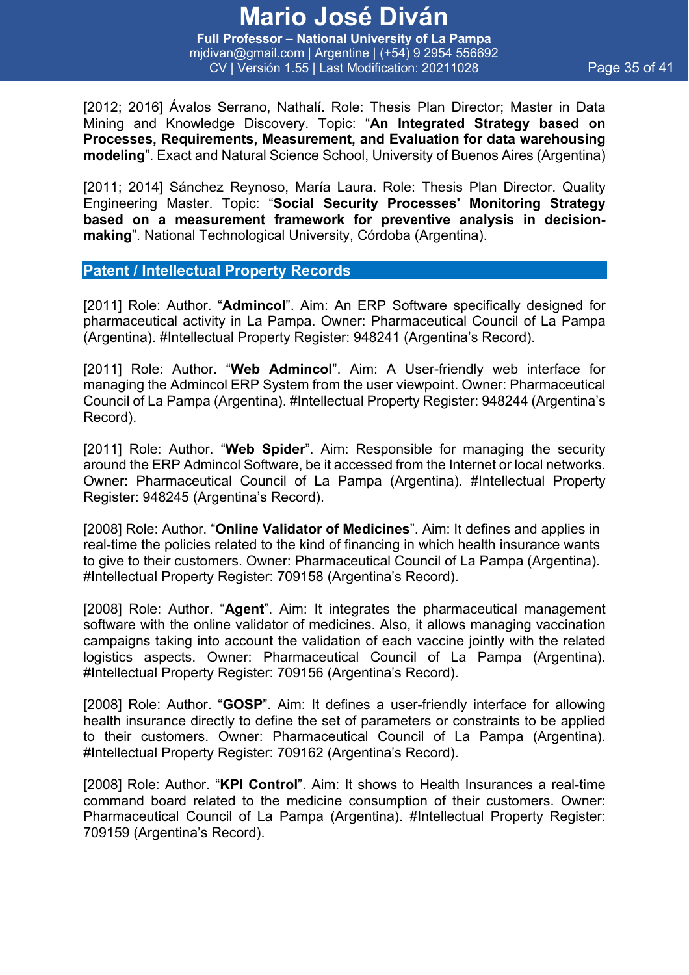**Full Professor – National University of La Pampa** mjdivan@gmail.com | Argentine | (+54) 9 2954 556692 CV | Versión 1.55 | Last Modification: 20211028 Page 35 of 41

[2012; 2016] Ávalos Serrano, Nathalí. Role: Thesis Plan Director; Master in Data Mining and Knowledge Discovery. Topic: "**An Integrated Strategy based on Processes, Requirements, Measurement, and Evaluation for data warehousing modeling**". Exact and Natural Science School, University of Buenos Aires (Argentina)

[2011; 2014] Sánchez Reynoso, María Laura. Role: Thesis Plan Director. Quality Engineering Master. Topic: "**Social Security Processes' Monitoring Strategy based on a measurement framework for preventive analysis in decisionmaking**". National Technological University, Córdoba (Argentina).

#### **Patent / Intellectual Property Records**

[2011] Role: Author. "**Admincol**". Aim: An ERP Software specifically designed for pharmaceutical activity in La Pampa. Owner: Pharmaceutical Council of La Pampa (Argentina). #Intellectual Property Register: 948241 (Argentina's Record).

[2011] Role: Author. "**Web Admincol**". Aim: A User-friendly web interface for managing the Admincol ERP System from the user viewpoint. Owner: Pharmaceutical Council of La Pampa (Argentina). #Intellectual Property Register: 948244 (Argentina's Record).

[2011] Role: Author. "**Web Spider**". Aim: Responsible for managing the security around the ERP Admincol Software, be it accessed from the Internet or local networks. Owner: Pharmaceutical Council of La Pampa (Argentina). #Intellectual Property Register: 948245 (Argentina's Record).

[2008] Role: Author. "**Online Validator of Medicines**". Aim: It defines and applies in real-time the policies related to the kind of financing in which health insurance wants to give to their customers. Owner: Pharmaceutical Council of La Pampa (Argentina). #Intellectual Property Register: 709158 (Argentina's Record).

[2008] Role: Author. "**Agent**". Aim: It integrates the pharmaceutical management software with the online validator of medicines. Also, it allows managing vaccination campaigns taking into account the validation of each vaccine jointly with the related logistics aspects. Owner: Pharmaceutical Council of La Pampa (Argentina). #Intellectual Property Register: 709156 (Argentina's Record).

[2008] Role: Author. "**GOSP**". Aim: It defines a user-friendly interface for allowing health insurance directly to define the set of parameters or constraints to be applied to their customers. Owner: Pharmaceutical Council of La Pampa (Argentina). #Intellectual Property Register: 709162 (Argentina's Record).

[2008] Role: Author. "**KPI Control**". Aim: It shows to Health Insurances a real-time command board related to the medicine consumption of their customers. Owner: Pharmaceutical Council of La Pampa (Argentina). #Intellectual Property Register: 709159 (Argentina's Record).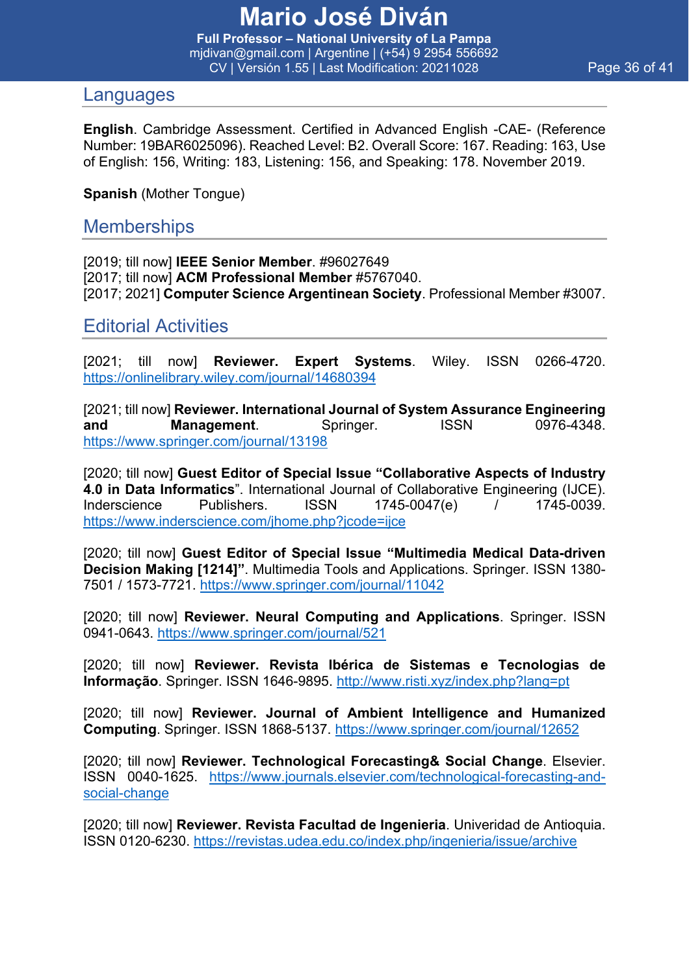**Full Professor – National University of La Pampa** mjdivan@gmail.com | Argentine | (+54) 9 2954 556692 CV | Versión 1.55 | Last Modification: 20211028 Page 36 of 41

#### Languages

**English**. Cambridge Assessment. Certified in Advanced English -CAE- (Reference Number: 19BAR6025096). Reached Level: B2. Overall Score: 167. Reading: 163, Use of English: 156, Writing: 183, Listening: 156, and Speaking: 178. November 2019.

**Spanish** (Mother Tongue)

### **Memberships**

[2019; till now] **IEEE Senior Member**. #96027649 [2017; till now] **ACM Professional Member** #5767040. [2017; 2021] **Computer Science Argentinean Society**. Professional Member #3007.

Editorial Activities

[2021; till now] **Reviewer. Expert Systems**. Wiley. ISSN 0266-4720. https://onlinelibrary.wiley.com/journal/14680394

[2021; till now] **Reviewer. International Journal of System Assurance Engineering and Management.** Springer. ISSN 0976-4348. https://www.springer.com/journal/13198

[2020; till now] **Guest Editor of Special Issue "Collaborative Aspects of Industry 4.0 in Data Informatics**". International Journal of Collaborative Engineering (IJCE). Inderscience Publishers. ISSN 1745-0047(e) / 1745-0039. https://www.inderscience.com/jhome.php?jcode=ijce

[2020; till now] **Guest Editor of Special Issue "Multimedia Medical Data-driven Decision Making [1214]"**. Multimedia Tools and Applications. Springer. ISSN 1380- 7501 / 1573-7721. https://www.springer.com/journal/11042

[2020; till now] **Reviewer. Neural Computing and Applications**. Springer. ISSN 0941-0643. https://www.springer.com/journal/521

[2020; till now] **Reviewer. Revista Ibérica de Sistemas e Tecnologias de Informação**. Springer. ISSN 1646-9895. http://www.risti.xyz/index.php?lang=pt

[2020; till now] **Reviewer. Journal of Ambient Intelligence and Humanized Computing**. Springer. ISSN 1868-5137. https://www.springer.com/journal/12652

[2020; till now] **Reviewer. Technological Forecasting& Social Change**. Elsevier. ISSN 0040-1625. https://www.journals.elsevier.com/technological-forecasting-andsocial-change

[2020; till now] **Reviewer. Revista Facultad de Ingenieria**. Univeridad de Antioquia. ISSN 0120-6230. https://revistas.udea.edu.co/index.php/ingenieria/issue/archive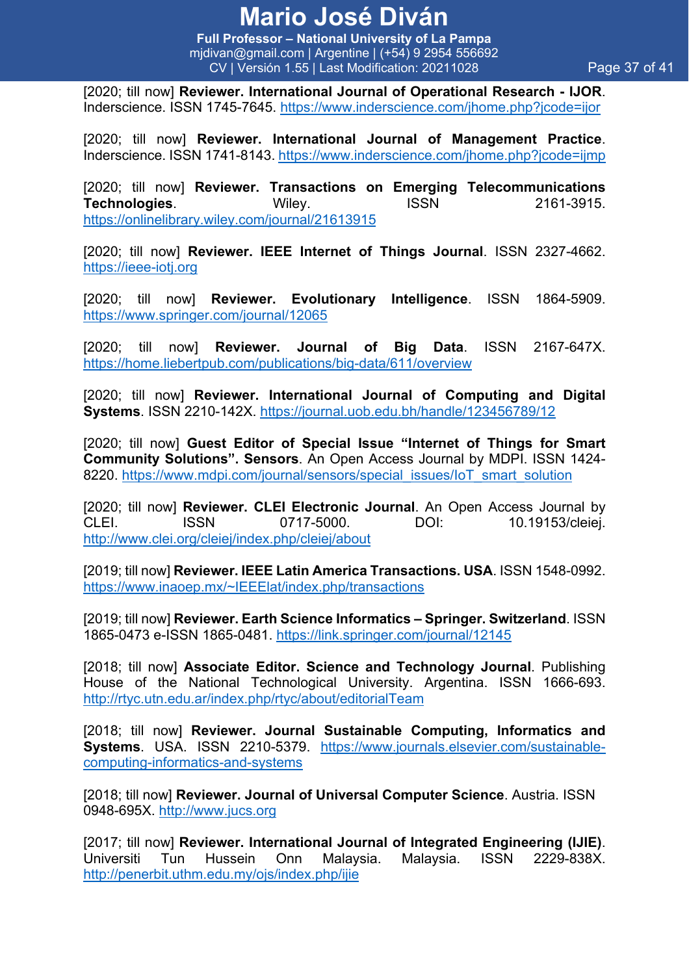**Full Professor – National University of La Pampa** mjdivan@gmail.com | Argentine | (+54) 9 2954 556692 CV | Versión 1.55 | Last Modification: 20211028 Page 37 of 41

[2020; till now] **Reviewer. International Journal of Operational Research - IJOR**. Inderscience. ISSN 1745-7645. https://www.inderscience.com/jhome.php?jcode=ijor

[2020; till now] **Reviewer. International Journal of Management Practice**. Inderscience. ISSN 1741-8143. https://www.inderscience.com/jhome.php?jcode=ijmp

[2020; till now] **Reviewer. Transactions on Emerging Telecommunications Technologies**. Wiley. ISSN 2161-3915. https://onlinelibrary.wiley.com/journal/21613915

[2020; till now] **Reviewer. IEEE Internet of Things Journal**. ISSN 2327-4662. https://ieee-iotj.org

[2020; till now] **Reviewer. Evolutionary Intelligence**. ISSN 1864-5909. https://www.springer.com/journal/12065

[2020; till now] **Reviewer. Journal of Big Data**. ISSN 2167-647X. https://home.liebertpub.com/publications/big-data/611/overview

[2020; till now] **Reviewer. International Journal of Computing and Digital Systems**. ISSN 2210-142X. https://journal.uob.edu.bh/handle/123456789/12

[2020; till now] **Guest Editor of Special Issue "Internet of Things for Smart Community Solutions". Sensors**. An Open Access Journal by MDPI. ISSN 1424- 8220. https://www.mdpi.com/journal/sensors/special\_issues/IoT\_smart\_solution

[2020; till now] **Reviewer. CLEI Electronic Journal**. An Open Access Journal by CLEI. ISSN 0717-5000. DOI: 10.19153/cleiej. http://www.clei.org/cleiej/index.php/cleiej/about

[2019; till now] **Reviewer. IEEE Latin America Transactions. USA**. ISSN 1548-0992. https://www.inaoep.mx/~IEEElat/index.php/transactions

[2019; till now] **Reviewer. Earth Science Informatics – Springer. Switzerland**. ISSN 1865-0473 e-ISSN 1865-0481. https://link.springer.com/journal/12145

[2018; till now] **Associate Editor. Science and Technology Journal**. Publishing House of the National Technological University. Argentina. ISSN 1666-693. http://rtyc.utn.edu.ar/index.php/rtyc/about/editorialTeam

[2018; till now] **Reviewer. Journal Sustainable Computing, Informatics and Systems**. USA. ISSN 2210-5379. https://www.journals.elsevier.com/sustainablecomputing-informatics-and-systems

[2018; till now] **Reviewer. Journal of Universal Computer Science**. Austria. ISSN 0948-695X. http://www.jucs.org

[2017; till now] **Reviewer. International Journal of Integrated Engineering (IJIE)**. Universiti Tun Hussein Onn Malaysia. Malaysia. ISSN 2229-838X. http://penerbit.uthm.edu.my/ojs/index.php/ijie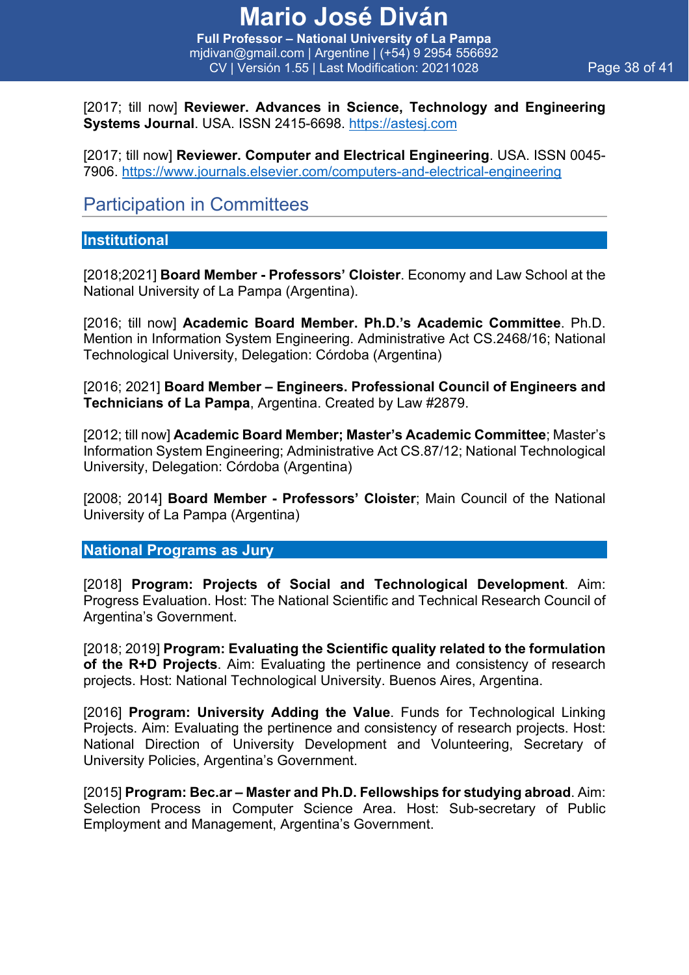### **Mario José Diván Full Professor – National University of La Pampa**

mjdivan@gmail.com | Argentine | (+54) 9 2954 556692 CV | Versión 1.55 | Last Modification: 20211028 Page 38 of 41

[2017; till now] **Reviewer. Advances in Science, Technology and Engineering Systems Journal**. USA. ISSN 2415-6698. https://astesj.com

[2017; till now] **Reviewer. Computer and Electrical Engineering**. USA. ISSN 0045- 7906. https://www.journals.elsevier.com/computers-and-electrical-engineering

### Participation in Committees

#### **Institutional**

[2018;2021] **Board Member - Professors' Cloister**. Economy and Law School at the National University of La Pampa (Argentina).

[2016; till now] **Academic Board Member. Ph.D.'s Academic Committee**. Ph.D. Mention in Information System Engineering. Administrative Act CS.2468/16; National Technological University, Delegation: Córdoba (Argentina)

[2016; 2021] **Board Member – Engineers. Professional Council of Engineers and Technicians of La Pampa**, Argentina. Created by Law #2879.

[2012; till now] **Academic Board Member; Master's Academic Committee**; Master's Information System Engineering; Administrative Act CS.87/12; National Technological University, Delegation: Córdoba (Argentina)

[2008; 2014] **Board Member - Professors' Cloister**; Main Council of the National University of La Pampa (Argentina)

#### **National Programs as Jury**

[2018] **Program: Projects of Social and Technological Development**. Aim: Progress Evaluation. Host: The National Scientific and Technical Research Council of Argentina's Government.

[2018; 2019] **Program: Evaluating the Scientific quality related to the formulation of the R+D Projects**. Aim: Evaluating the pertinence and consistency of research projects. Host: National Technological University. Buenos Aires, Argentina.

[2016] **Program: University Adding the Value**. Funds for Technological Linking Projects. Aim: Evaluating the pertinence and consistency of research projects. Host: National Direction of University Development and Volunteering, Secretary of University Policies, Argentina's Government.

[2015] **Program: Bec.ar – Master and Ph.D. Fellowships for studying abroad**. Aim: Selection Process in Computer Science Area. Host: Sub-secretary of Public Employment and Management, Argentina's Government.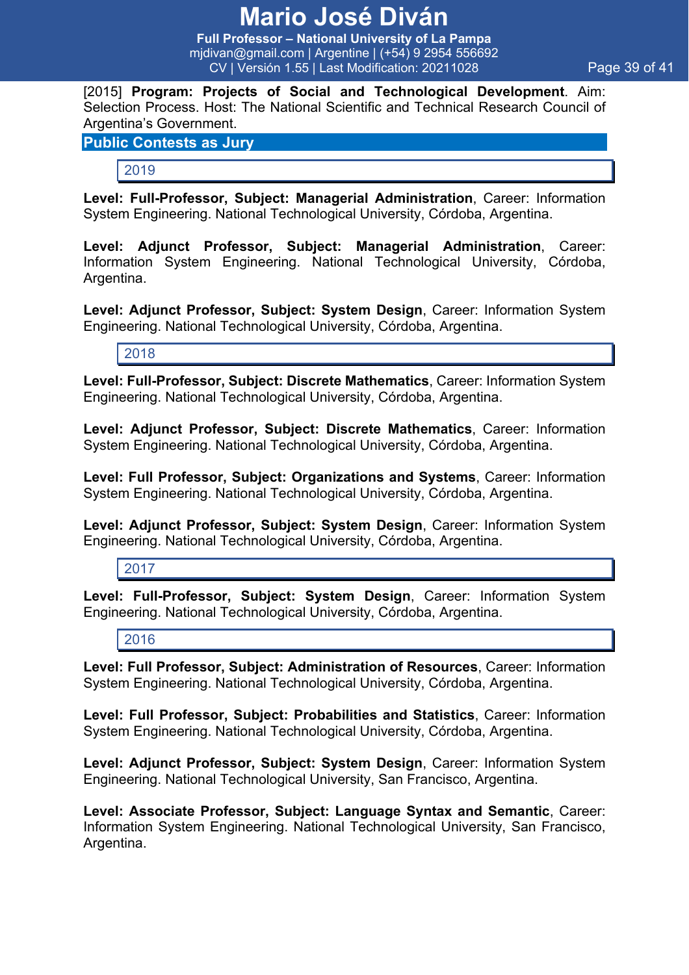**Full Professor – National University of La Pampa** mjdivan@gmail.com | Argentine | (+54) 9 2954 556692 CV | Versión 1.55 | Last Modification: 20211028 Page 39 of 41

[2015] **Program: Projects of Social and Technological Development**. Aim: Selection Process. Host: The National Scientific and Technical Research Council of Argentina's Government.

#### **Public Contests as Jury**

#### 2019

**Level: Full-Professor, Subject: Managerial Administration**, Career: Information System Engineering. National Technological University, Córdoba, Argentina.

**Level: Adjunct Professor, Subject: Managerial Administration**, Career: Information System Engineering. National Technological University, Córdoba, Argentina.

**Level: Adjunct Professor, Subject: System Design**, Career: Information System Engineering. National Technological University, Córdoba, Argentina.

2018

**Level: Full-Professor, Subject: Discrete Mathematics**, Career: Information System Engineering. National Technological University, Córdoba, Argentina.

**Level: Adjunct Professor, Subject: Discrete Mathematics**, Career: Information System Engineering. National Technological University, Córdoba, Argentina.

**Level: Full Professor, Subject: Organizations and Systems**, Career: Information System Engineering. National Technological University, Córdoba, Argentina.

**Level: Adjunct Professor, Subject: System Design**, Career: Information System Engineering. National Technological University, Córdoba, Argentina.

2017

**Level: Full-Professor, Subject: System Design**, Career: Information System Engineering. National Technological University, Córdoba, Argentina.

2016

**Level: Full Professor, Subject: Administration of Resources**, Career: Information System Engineering. National Technological University, Córdoba, Argentina.

**Level: Full Professor, Subject: Probabilities and Statistics**, Career: Information System Engineering. National Technological University, Córdoba, Argentina.

**Level: Adjunct Professor, Subject: System Design**, Career: Information System Engineering. National Technological University, San Francisco, Argentina.

**Level: Associate Professor, Subject: Language Syntax and Semantic**, Career: Information System Engineering. National Technological University, San Francisco, Argentina.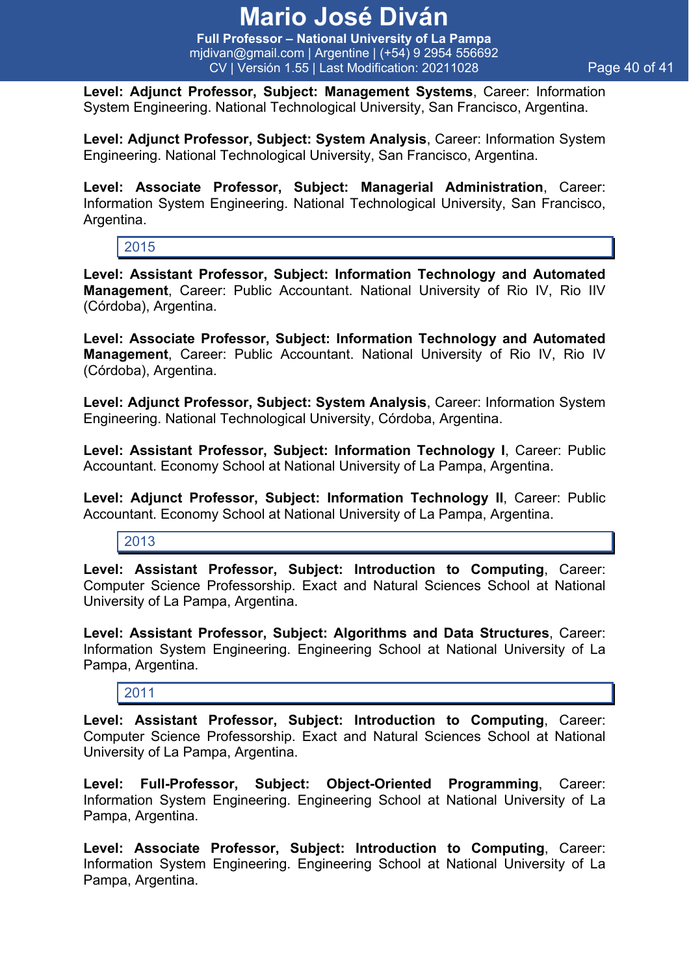**Full Professor – National University of La Pampa** mjdivan@gmail.com | Argentine | (+54) 9 2954 556692 CV | Versión 1.55 | Last Modification: 20211028 Page 40 of 41

**Level: Adjunct Professor, Subject: Management Systems**, Career: Information System Engineering. National Technological University, San Francisco, Argentina.

**Level: Adjunct Professor, Subject: System Analysis**, Career: Information System Engineering. National Technological University, San Francisco, Argentina.

**Level: Associate Professor, Subject: Managerial Administration**, Career: Information System Engineering. National Technological University, San Francisco, Argentina.

2015

**Level: Assistant Professor, Subject: Information Technology and Automated Management**, Career: Public Accountant. National University of Rio IV, Rio IIV (Córdoba), Argentina.

**Level: Associate Professor, Subject: Information Technology and Automated Management**, Career: Public Accountant. National University of Rio IV, Rio IV (Córdoba), Argentina.

**Level: Adjunct Professor, Subject: System Analysis**, Career: Information System Engineering. National Technological University, Córdoba, Argentina.

**Level: Assistant Professor, Subject: Information Technology I**, Career: Public Accountant. Economy School at National University of La Pampa, Argentina.

**Level: Adjunct Professor, Subject: Information Technology II**, Career: Public Accountant. Economy School at National University of La Pampa, Argentina.

2013

**Level: Assistant Professor, Subject: Introduction to Computing**, Career: Computer Science Professorship. Exact and Natural Sciences School at National University of La Pampa, Argentina.

**Level: Assistant Professor, Subject: Algorithms and Data Structures**, Career: Information System Engineering. Engineering School at National University of La Pampa, Argentina.

2011

**Level: Assistant Professor, Subject: Introduction to Computing**, Career: Computer Science Professorship. Exact and Natural Sciences School at National University of La Pampa, Argentina.

**Level: Full-Professor, Subject: Object-Oriented Programming**, Career: Information System Engineering. Engineering School at National University of La Pampa, Argentina.

**Level: Associate Professor, Subject: Introduction to Computing**, Career: Information System Engineering. Engineering School at National University of La Pampa, Argentina.